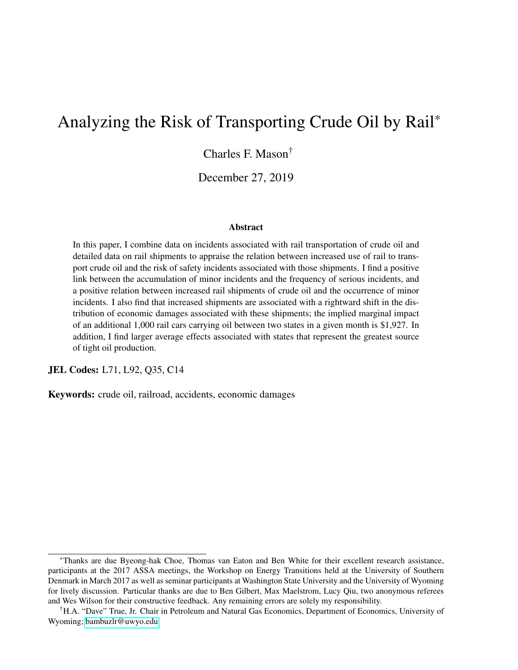# Analyzing the Risk of Transporting Crude Oil by Rail\*

# Charles F. Mason†

December 27, 2019

#### Abstract

In this paper, I combine data on incidents associated with rail transportation of crude oil and detailed data on rail shipments to appraise the relation between increased use of rail to transport crude oil and the risk of safety incidents associated with those shipments. I find a positive link between the accumulation of minor incidents and the frequency of serious incidents, and a positive relation between increased rail shipments of crude oil and the occurrence of minor incidents. I also find that increased shipments are associated with a rightward shift in the distribution of economic damages associated with these shipments; the implied marginal impact of an additional 1,000 rail cars carrying oil between two states in a given month is \$1,927. In addition, I find larger average effects associated with states that represent the greatest source of tight oil production.

JEL Codes: L71, L92, Q35, C14

Keywords: crude oil, railroad, accidents, economic damages

<sup>\*</sup>Thanks are due Byeong-hak Choe, Thomas van Eaton and Ben White for their excellent research assistance, participants at the 2017 ASSA meetings, the Workshop on Energy Transitions held at the University of Southern Denmark in March 2017 as well as seminar participants at Washington State University and the University of Wyoming for lively discussion. Particular thanks are due to Ben Gilbert, Max Maelstrom, Lucy Qiu, two anonymous referees and Wes Wilson for their constructive feedback. Any remaining errors are solely my responsibility.

<sup>†</sup>H.A. "Dave" True, Jr. Chair in Petroleum and Natural Gas Economics, Department of Economics, University of Wyoming; [bambuzlr@uwyo.edu](mailto:bambuzlr@uwyo.edu)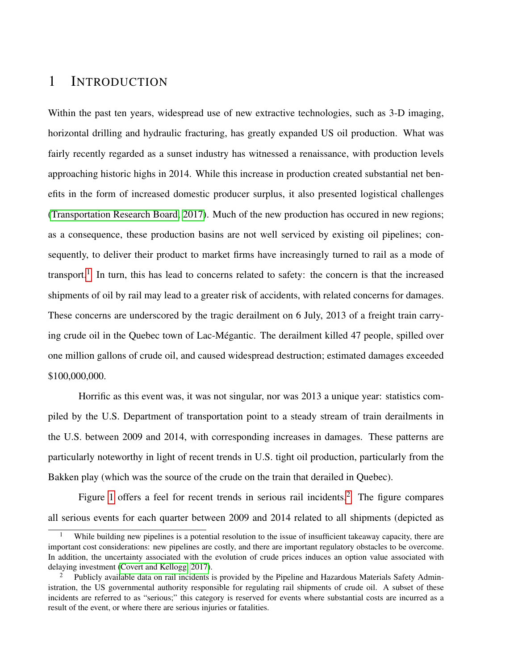# 1 INTRODUCTION

Within the past ten years, widespread use of new extractive technologies, such as 3-D imaging, horizontal drilling and hydraulic fracturing, has greatly expanded US oil production. What was fairly recently regarded as a sunset industry has witnessed a renaissance, with production levels approaching historic highs in 2014. While this increase in production created substantial net benefits in the form of increased domestic producer surplus, it also presented logistical challenges [\(Transportation Research Board, 2017\)](#page-24-0). Much of the new production has occured in new regions; as a consequence, these production basins are not well serviced by existing oil pipelines; consequently, to deliver their product to market firms have increasingly turned to rail as a mode of transport.<sup>[1](#page-1-0)</sup> In turn, this has lead to concerns related to safety: the concern is that the increased shipments of oil by rail may lead to a greater risk of accidents, with related concerns for damages. These concerns are underscored by the tragic derailment on 6 July, 2013 of a freight train carrying crude oil in the Quebec town of Lac-Mégantic. The derailment killed 47 people, spilled over one million gallons of crude oil, and caused widespread destruction; estimated damages exceeded \$100,000,000.

Horrific as this event was, it was not singular, nor was 2013 a unique year: statistics compiled by the U.S. Department of transportation point to a steady stream of train derailments in the U.S. between 2009 and 2014, with corresponding increases in damages. These patterns are particularly noteworthy in light of recent trends in U.S. tight oil production, particularly from the Bakken play (which was the source of the crude on the train that derailed in Quebec).

Figure [1](#page-25-0) offers a feel for recent trends in serious rail incidents.<sup>[2](#page-1-1)</sup> The figure compares all serious events for each quarter between 2009 and 2014 related to all shipments (depicted as

<span id="page-1-0"></span>While building new pipelines is a potential resolution to the issue of insufficient takeaway capacity, there are important cost considerations: new pipelines are costly, and there are important regulatory obstacles to be overcome. In addition, the uncertainty associated with the evolution of crude prices induces an option value associated with delaying investment [\(Covert and Kellogg, 2017\)](#page-23-0).<br><sup>2</sup> Publishy quality data on rail incidents in

<span id="page-1-1"></span><sup>2</sup> Publicly available data on rail incidents is provided by the Pipeline and Hazardous Materials Safety Administration, the US governmental authority responsible for regulating rail shipments of crude oil. A subset of these incidents are referred to as "serious;" this category is reserved for events where substantial costs are incurred as a result of the event, or where there are serious injuries or fatalities.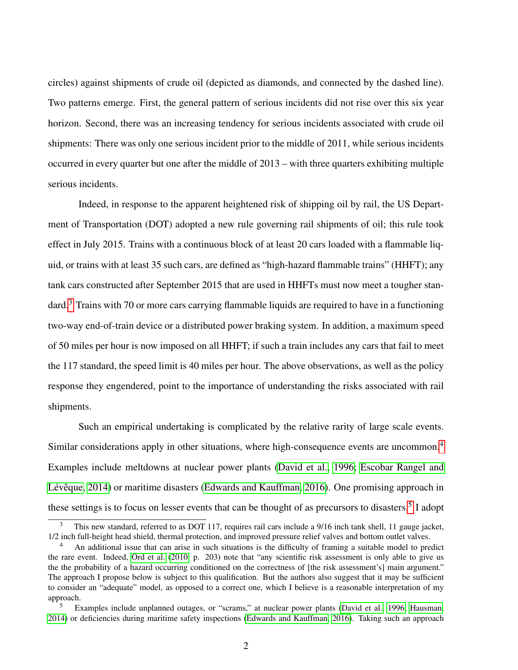circles) against shipments of crude oil (depicted as diamonds, and connected by the dashed line). Two patterns emerge. First, the general pattern of serious incidents did not rise over this six year horizon. Second, there was an increasing tendency for serious incidents associated with crude oil shipments: There was only one serious incident prior to the middle of 2011, while serious incidents occurred in every quarter but one after the middle of 2013 – with three quarters exhibiting multiple serious incidents.

Indeed, in response to the apparent heightened risk of shipping oil by rail, the US Department of Transportation (DOT) adopted a new rule governing rail shipments of oil; this rule took effect in July 2015. Trains with a continuous block of at least 20 cars loaded with a flammable liquid, or trains with at least 35 such cars, are defined as "high-hazard flammable trains" (HHFT); any tank cars constructed after September 2015 that are used in HHFTs must now meet a tougher stan- $\text{dard.}^3$  $\text{dard.}^3$  Trains with 70 or more cars carrying flammable liquids are required to have in a functioning two-way end-of-train device or a distributed power braking system. In addition, a maximum speed of 50 miles per hour is now imposed on all HHFT; if such a train includes any cars that fail to meet the 117 standard, the speed limit is 40 miles per hour. The above observations, as well as the policy response they engendered, point to the importance of understanding the risks associated with rail shipments.

Such an empirical undertaking is complicated by the relative rarity of large scale events. Similar considerations apply in other situations, where high-consequence events are uncommon.<sup>[4](#page-2-1)</sup> Examples include meltdowns at nuclear power plants [\(David et al., 1996;](#page-23-1) [Escobar Rangel and](#page-23-2) Lévêque, 2014) or maritime disasters [\(Edwards and Kauffman, 2016\)](#page-23-3). One promising approach in these settings is to focus on lesser events that can be thought of as precursors to disasters.<sup>[5](#page-2-2)</sup> I adopt

<span id="page-2-0"></span><sup>3</sup> This new standard, referred to as DOT 117, requires rail cars include a 9/16 inch tank shell, 11 gauge jacket, 1/2 inch full-height head shield, thermal protection, and improved pressure relief valves and bottom outlet valves.

<span id="page-2-1"></span><sup>4</sup> An additional issue that can arise in such situations is the difficulty of framing a suitable model to predict the rare event. Indeed, [Ord et al.](#page-24-1) [\(2010,](#page-24-1) p. 203) note that "any scientific risk assessment is only able to give us the the probability of a hazard occurring conditioned on the correctness of [the risk assessment's] main argument." The approach I propose below is subject to this qualification. But the authors also suggest that it may be sufficient to consider an "adequate" model, as opposed to a correct one, which I believe is a reasonable interpretation of my approach.<br> $\frac{5}{5}$ 

<span id="page-2-2"></span><sup>5</sup> Examples include unplanned outages, or "scrams," at nuclear power plants [\(David et al., 1996;](#page-23-1) [Hausman,](#page-23-4) [2014\)](#page-23-4) or deficiencies during maritime safety inspections [\(Edwards and Kauffman, 2016\)](#page-23-3). Taking such an approach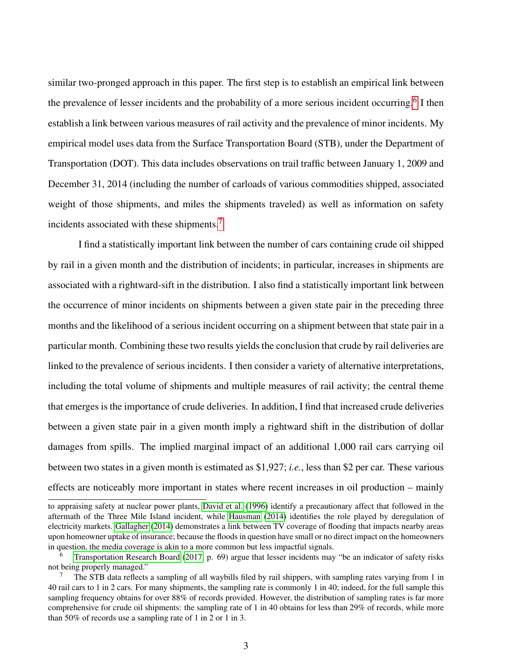similar two-pronged approach in this paper. The first step is to establish an empirical link between the prevalence of lesser incidents and the probability of a more serious incident occurring.<sup>[6](#page-3-0)</sup> I then establish a link between various measures of rail activity and the prevalence of minor incidents. My empirical model uses data from the Surface Transportation Board (STB), under the Department of Transportation (DOT). This data includes observations on trail traffic between January 1, 2009 and December 31, 2014 (including the number of carloads of various commodities shipped, associated weight of those shipments, and miles the shipments traveled) as well as information on safety incidents associated with these shipments.[7](#page-3-1)

I find a statistically important link between the number of cars containing crude oil shipped by rail in a given month and the distribution of incidents; in particular, increases in shipments are associated with a rightward-sift in the distribution. I also find a statistically important link between the occurrence of minor incidents on shipments between a given state pair in the preceding three months and the likelihood of a serious incident occurring on a shipment between that state pair in a particular month. Combining these two results yields the conclusion that crude by rail deliveries are linked to the prevalence of serious incidents. I then consider a variety of alternative interpretations, including the total volume of shipments and multiple measures of rail activity; the central theme that emerges is the importance of crude deliveries. In addition, I find that increased crude deliveries between a given state pair in a given month imply a rightward shift in the distribution of dollar damages from spills. The implied marginal impact of an additional 1,000 rail cars carrying oil between two states in a given month is estimated as \$1,927; *i.e.*, less than \$2 per car. These various effects are noticeably more important in states where recent increases in oil production – mainly

to appraising safety at nuclear power plants, [David et al.](#page-23-1) [\(1996\)](#page-23-1) identify a precautionary affect that followed in the aftermath of the Three Mile Island incident, while [Hausman](#page-23-4) [\(2014\)](#page-23-4) identifies the role played by deregulation of electricity markets. [Gallagher](#page-23-5) [\(2014\)](#page-23-5) demonstrates a link between TV coverage of flooding that impacts nearby areas upon homeowner uptake of insurance; because the floods in question have small or no direct impact on the homeowners in question, the media coverage is akin to a more common but less impactful signals.

<span id="page-3-0"></span><sup>6</sup> [Transportation Research Board](#page-24-0) [\(2017,](#page-24-0) p. 69) argue that lesser incidents may "be an indicator of safety risks not being properly managed."<br>
<sup>7</sup> The STB data reflects

<span id="page-3-1"></span><sup>7</sup> The STB data reflects a sampling of all waybills filed by rail shippers, with sampling rates varying from 1 in 40 rail cars to 1 in 2 cars. For many shipments, the sampling rate is commonly 1 in 40; indeed, for the full sample this sampling frequency obtains for over 88% of records provided. However, the distribution of sampling rates is far more comprehensive for crude oil shipments: the sampling rate of 1 in 40 obtains for less than 29% of records, while more than 50% of records use a sampling rate of 1 in 2 or 1 in 3.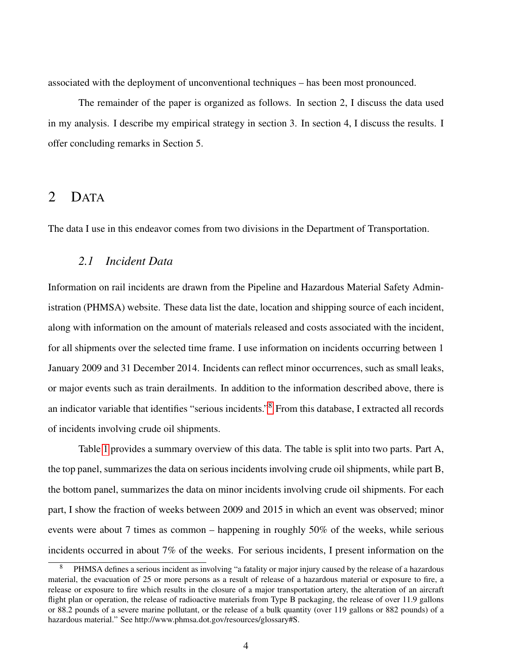associated with the deployment of unconventional techniques – has been most pronounced.

The remainder of the paper is organized as follows. In section 2, I discuss the data used in my analysis. I describe my empirical strategy in section 3. In section 4, I discuss the results. I offer concluding remarks in Section 5.

# 2 DATA

The data I use in this endeavor comes from two divisions in the Department of Transportation.

#### *2.1 Incident Data*

Information on rail incidents are drawn from the Pipeline and Hazardous Material Safety Administration (PHMSA) website. These data list the date, location and shipping source of each incident, along with information on the amount of materials released and costs associated with the incident, for all shipments over the selected time frame. I use information on incidents occurring between 1 January 2009 and 31 December 2014. Incidents can reflect minor occurrences, such as small leaks, or major events such as train derailments. In addition to the information described above, there is an indicator variable that identifies "serious incidents."[8](#page-4-0) From this database, I extracted all records of incidents involving crude oil shipments.

Table [1](#page-31-0) provides a summary overview of this data. The table is split into two parts. Part A, the top panel, summarizes the data on serious incidents involving crude oil shipments, while part B, the bottom panel, summarizes the data on minor incidents involving crude oil shipments. For each part, I show the fraction of weeks between 2009 and 2015 in which an event was observed; minor events were about 7 times as common – happening in roughly 50% of the weeks, while serious incidents occurred in about 7% of the weeks. For serious incidents, I present information on the

<span id="page-4-0"></span><sup>8</sup> PHMSA defines a serious incident as involving "a fatality or major injury caused by the release of a hazardous material, the evacuation of 25 or more persons as a result of release of a hazardous material or exposure to fire, a release or exposure to fire which results in the closure of a major transportation artery, the alteration of an aircraft flight plan or operation, the release of radioactive materials from Type B packaging, the release of over 11.9 gallons or 88.2 pounds of a severe marine pollutant, or the release of a bulk quantity (over 119 gallons or 882 pounds) of a hazardous material." See http://www.phmsa.dot.gov/resources/glossary#S.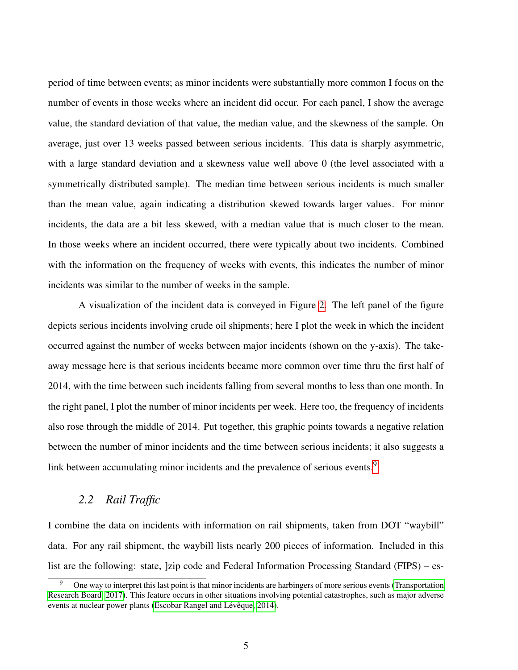period of time between events; as minor incidents were substantially more common I focus on the number of events in those weeks where an incident did occur. For each panel, I show the average value, the standard deviation of that value, the median value, and the skewness of the sample. On average, just over 13 weeks passed between serious incidents. This data is sharply asymmetric, with a large standard deviation and a skewness value well above 0 (the level associated with a symmetrically distributed sample). The median time between serious incidents is much smaller than the mean value, again indicating a distribution skewed towards larger values. For minor incidents, the data are a bit less skewed, with a median value that is much closer to the mean. In those weeks where an incident occurred, there were typically about two incidents. Combined with the information on the frequency of weeks with events, this indicates the number of minor incidents was similar to the number of weeks in the sample.

A visualization of the incident data is conveyed in Figure [2.](#page-26-0) The left panel of the figure depicts serious incidents involving crude oil shipments; here I plot the week in which the incident occurred against the number of weeks between major incidents (shown on the y-axis). The takeaway message here is that serious incidents became more common over time thru the first half of 2014, with the time between such incidents falling from several months to less than one month. In the right panel, I plot the number of minor incidents per week. Here too, the frequency of incidents also rose through the middle of 2014. Put together, this graphic points towards a negative relation between the number of minor incidents and the time between serious incidents; it also suggests a link between accumulating minor incidents and the prevalence of serious events.<sup>[9](#page-5-0)</sup>

#### *2.2 Rail Traffic*

I combine the data on incidents with information on rail shipments, taken from DOT "waybill" data. For any rail shipment, the waybill lists nearly 200 pieces of information. Included in this list are the following: state,  $|zip \text{ code and Federal Information Processing Standard (FIPS) – es-}$ 

<span id="page-5-0"></span><sup>9</sup> One way to interpret this last point is that minor incidents are harbingers of more serious events [\(Transportation](#page-24-0) [Research Board, 2017\)](#page-24-0). This feature occurs in other situations involving potential catastrophes, such as major adverse events at nuclear power plants (Escobar Rangel and Lévêque, [2014\)](#page-23-2).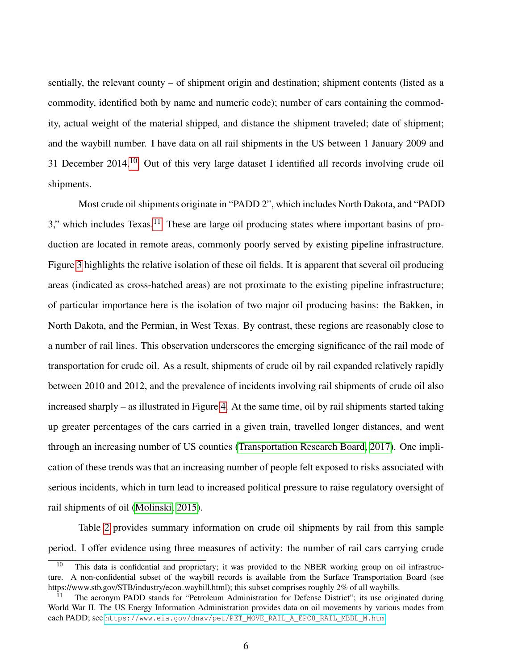sentially, the relevant county – of shipment origin and destination; shipment contents (listed as a commodity, identified both by name and numeric code); number of cars containing the commodity, actual weight of the material shipped, and distance the shipment traveled; date of shipment; and the waybill number. I have data on all rail shipments in the US between 1 January 2009 and 31 December 2014.[10](#page-6-0) Out of this very large dataset I identified all records involving crude oil shipments.

Most crude oil shipments originate in "PADD 2", which includes North Dakota, and "PADD 3," which includes Texas.<sup>[11](#page-6-1)</sup> These are large oil producing states where important basins of production are located in remote areas, commonly poorly served by existing pipeline infrastructure. Figure [3](#page-27-0) highlights the relative isolation of these oil fields. It is apparent that several oil producing areas (indicated as cross-hatched areas) are not proximate to the existing pipeline infrastructure; of particular importance here is the isolation of two major oil producing basins: the Bakken, in North Dakota, and the Permian, in West Texas. By contrast, these regions are reasonably close to a number of rail lines. This observation underscores the emerging significance of the rail mode of transportation for crude oil. As a result, shipments of crude oil by rail expanded relatively rapidly between 2010 and 2012, and the prevalence of incidents involving rail shipments of crude oil also increased sharply – as illustrated in Figure [4.](#page-28-0) At the same time, oil by rail shipments started taking up greater percentages of the cars carried in a given train, travelled longer distances, and went through an increasing number of US counties [\(Transportation Research Board, 2017\)](#page-24-0). One implication of these trends was that an increasing number of people felt exposed to risks associated with serious incidents, which in turn lead to increased political pressure to raise regulatory oversight of rail shipments of oil [\(Molinski, 2015\)](#page-24-2).

Table [2](#page-32-0) provides summary information on crude oil shipments by rail from this sample period. I offer evidence using three measures of activity: the number of rail cars carrying crude

<span id="page-6-0"></span><sup>&</sup>lt;sup>10</sup> This data is confidential and proprietary; it was provided to the NBER working group on oil infrastructure. A non-confidential subset of the waybill records is available from the Surface Transportation Board (see https://www.stb.gov/STB/industry/econ waybill.html); this subset comprises roughly 2% of all waybills.

<span id="page-6-1"></span><sup>&</sup>lt;sup>11</sup> The acronym PADD stands for "Petroleum Administration for Defense District"; its use originated during World War II. The US Energy Information Administration provides data on oil movements by various modes from each PADD; see [https://www.eia.gov/dnav/pet/PET\\_MOVE\\_RAIL\\_A\\_EPC0\\_RAIL\\_MBBL\\_M.htm](https://www.eia.gov/dnav/pet/PET_MOVE_RAIL_A_EPC0_RAIL_MBBL_M.htm).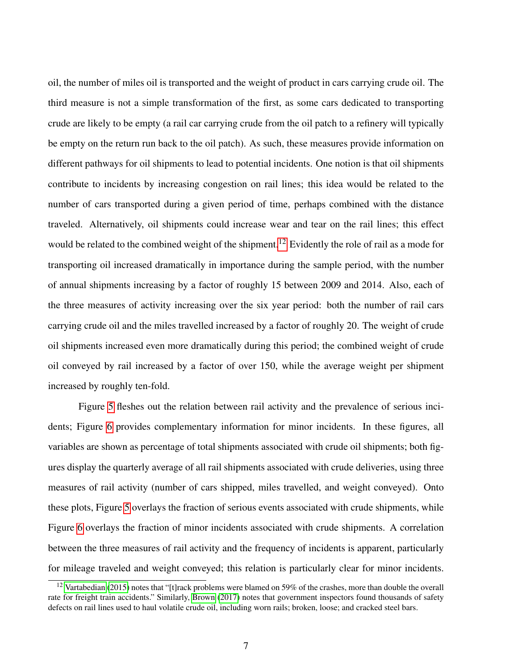oil, the number of miles oil is transported and the weight of product in cars carrying crude oil. The third measure is not a simple transformation of the first, as some cars dedicated to transporting crude are likely to be empty (a rail car carrying crude from the oil patch to a refinery will typically be empty on the return run back to the oil patch). As such, these measures provide information on different pathways for oil shipments to lead to potential incidents. One notion is that oil shipments contribute to incidents by increasing congestion on rail lines; this idea would be related to the number of cars transported during a given period of time, perhaps combined with the distance traveled. Alternatively, oil shipments could increase wear and tear on the rail lines; this effect would be related to the combined weight of the shipment.<sup>[12](#page-7-0)</sup> Evidently the role of rail as a mode for transporting oil increased dramatically in importance during the sample period, with the number of annual shipments increasing by a factor of roughly 15 between 2009 and 2014. Also, each of the three measures of activity increasing over the six year period: both the number of rail cars carrying crude oil and the miles travelled increased by a factor of roughly 20. The weight of crude oil shipments increased even more dramatically during this period; the combined weight of crude oil conveyed by rail increased by a factor of over 150, while the average weight per shipment increased by roughly ten-fold.

Figure [5](#page-29-0) fleshes out the relation between rail activity and the prevalence of serious incidents; Figure [6](#page-30-0) provides complementary information for minor incidents. In these figures, all variables are shown as percentage of total shipments associated with crude oil shipments; both figures display the quarterly average of all rail shipments associated with crude deliveries, using three measures of rail activity (number of cars shipped, miles travelled, and weight conveyed). Onto these plots, Figure [5](#page-29-0) overlays the fraction of serious events associated with crude shipments, while Figure [6](#page-30-0) overlays the fraction of minor incidents associated with crude shipments. A correlation between the three measures of rail activity and the frequency of incidents is apparent, particularly for mileage traveled and weight conveyed; this relation is particularly clear for minor incidents.

<span id="page-7-0"></span><sup>&</sup>lt;sup>12</sup> [Vartabedian](#page-24-3) [\(2015\)](#page-24-3) notes that "[t]rack problems were blamed on 59% of the crashes, more than double the overall rate for freight train accidents." Similarly, [Brown](#page-23-6) [\(2017\)](#page-23-6) notes that government inspectors found thousands of safety defects on rail lines used to haul volatile crude oil, including worn rails; broken, loose; and cracked steel bars.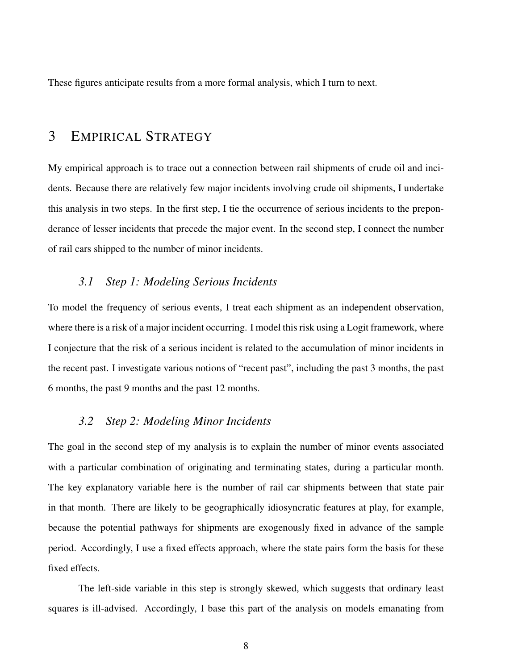These figures anticipate results from a more formal analysis, which I turn to next.

# 3 EMPIRICAL STRATEGY

My empirical approach is to trace out a connection between rail shipments of crude oil and incidents. Because there are relatively few major incidents involving crude oil shipments, I undertake this analysis in two steps. In the first step, I tie the occurrence of serious incidents to the preponderance of lesser incidents that precede the major event. In the second step, I connect the number of rail cars shipped to the number of minor incidents.

#### *3.1 Step 1: Modeling Serious Incidents*

To model the frequency of serious events, I treat each shipment as an independent observation, where there is a risk of a major incident occurring. I model this risk using a Logit framework, where I conjecture that the risk of a serious incident is related to the accumulation of minor incidents in the recent past. I investigate various notions of "recent past", including the past 3 months, the past 6 months, the past 9 months and the past 12 months.

#### *3.2 Step 2: Modeling Minor Incidents*

The goal in the second step of my analysis is to explain the number of minor events associated with a particular combination of originating and terminating states, during a particular month. The key explanatory variable here is the number of rail car shipments between that state pair in that month. There are likely to be geographically idiosyncratic features at play, for example, because the potential pathways for shipments are exogenously fixed in advance of the sample period. Accordingly, I use a fixed effects approach, where the state pairs form the basis for these fixed effects.

The left-side variable in this step is strongly skewed, which suggests that ordinary least squares is ill-advised. Accordingly, I base this part of the analysis on models emanating from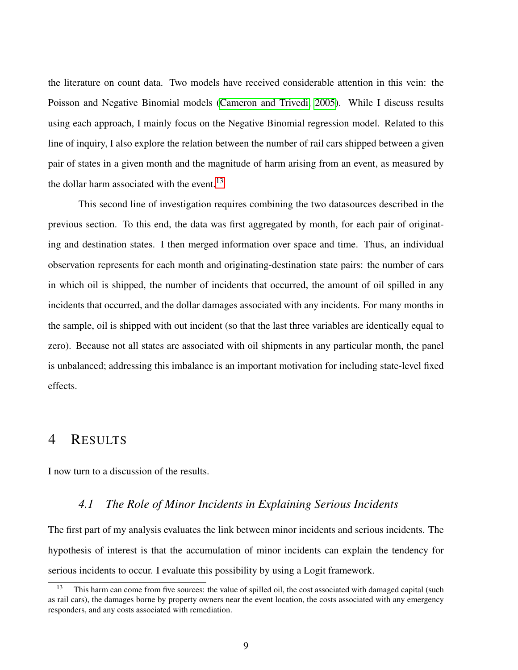the literature on count data. Two models have received considerable attention in this vein: the Poisson and Negative Binomial models [\(Cameron and Trivedi, 2005\)](#page-23-7). While I discuss results using each approach, I mainly focus on the Negative Binomial regression model. Related to this line of inquiry, I also explore the relation between the number of rail cars shipped between a given pair of states in a given month and the magnitude of harm arising from an event, as measured by the dollar harm associated with the event.<sup>[13](#page-9-0)</sup>

This second line of investigation requires combining the two datasources described in the previous section. To this end, the data was first aggregated by month, for each pair of originating and destination states. I then merged information over space and time. Thus, an individual observation represents for each month and originating-destination state pairs: the number of cars in which oil is shipped, the number of incidents that occurred, the amount of oil spilled in any incidents that occurred, and the dollar damages associated with any incidents. For many months in the sample, oil is shipped with out incident (so that the last three variables are identically equal to zero). Because not all states are associated with oil shipments in any particular month, the panel is unbalanced; addressing this imbalance is an important motivation for including state-level fixed effects.

# 4 RESULTS

I now turn to a discussion of the results.

#### *4.1 The Role of Minor Incidents in Explaining Serious Incidents*

The first part of my analysis evaluates the link between minor incidents and serious incidents. The hypothesis of interest is that the accumulation of minor incidents can explain the tendency for serious incidents to occur. I evaluate this possibility by using a Logit framework.

<span id="page-9-0"></span>This harm can come from five sources: the value of spilled oil, the cost associated with damaged capital (such as rail cars), the damages borne by property owners near the event location, the costs associated with any emergency responders, and any costs associated with remediation.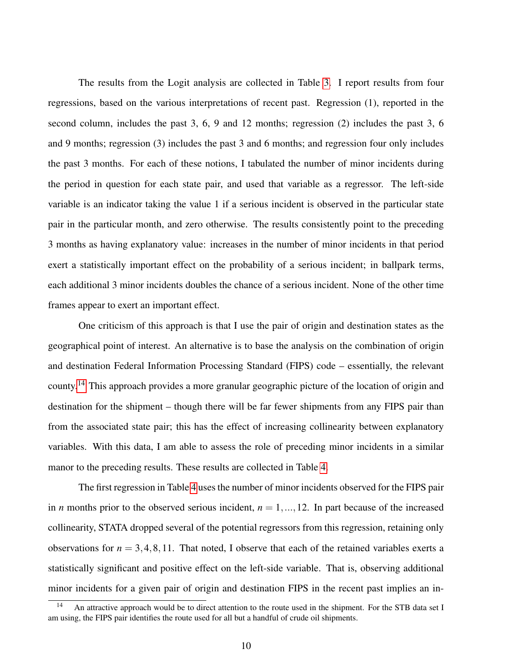The results from the Logit analysis are collected in Table [3.](#page-33-0) I report results from four regressions, based on the various interpretations of recent past. Regression (1), reported in the second column, includes the past 3, 6, 9 and 12 months; regression (2) includes the past 3, 6 and 9 months; regression (3) includes the past 3 and 6 months; and regression four only includes the past 3 months. For each of these notions, I tabulated the number of minor incidents during the period in question for each state pair, and used that variable as a regressor. The left-side variable is an indicator taking the value 1 if a serious incident is observed in the particular state pair in the particular month, and zero otherwise. The results consistently point to the preceding 3 months as having explanatory value: increases in the number of minor incidents in that period exert a statistically important effect on the probability of a serious incident; in ballpark terms, each additional 3 minor incidents doubles the chance of a serious incident. None of the other time frames appear to exert an important effect.

One criticism of this approach is that I use the pair of origin and destination states as the geographical point of interest. An alternative is to base the analysis on the combination of origin and destination Federal Information Processing Standard (FIPS) code – essentially, the relevant county.<sup>[14](#page-10-0)</sup> This approach provides a more granular geographic picture of the location of origin and destination for the shipment – though there will be far fewer shipments from any FIPS pair than from the associated state pair; this has the effect of increasing collinearity between explanatory variables. With this data, I am able to assess the role of preceding minor incidents in a similar manor to the preceding results. These results are collected in Table [4.](#page-34-0)

The first regression in Table [4](#page-34-0) uses the number of minor incidents observed for the FIPS pair in *n* months prior to the observed serious incident,  $n = 1, ..., 12$ . In part because of the increased collinearity, STATA dropped several of the potential regressors from this regression, retaining only observations for  $n = 3, 4, 8, 11$ . That noted, I observe that each of the retained variables exerts a statistically significant and positive effect on the left-side variable. That is, observing additional minor incidents for a given pair of origin and destination FIPS in the recent past implies an in-

<span id="page-10-0"></span>An attractive approach would be to direct attention to the route used in the shipment. For the STB data set I am using, the FIPS pair identifies the route used for all but a handful of crude oil shipments.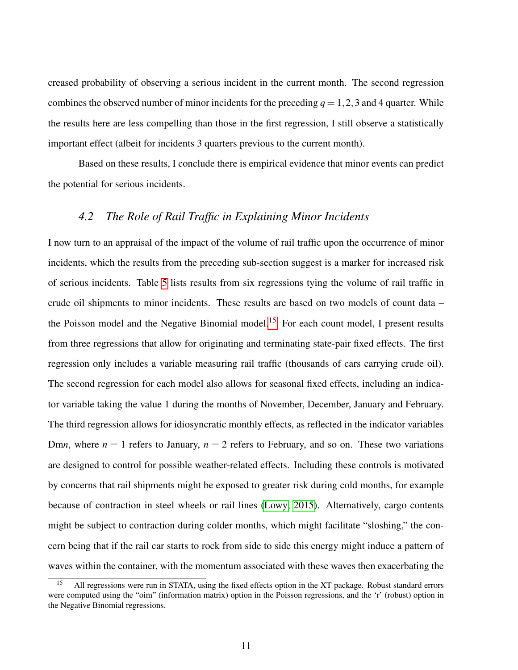creased probability of observing a serious incident in the current month. The second regression combines the observed number of minor incidents for the preceding  $q = 1, 2, 3$  and 4 quarter. While the results here are less compelling than those in the first regression, I still observe a statistically important effect (albeit for incidents 3 quarters previous to the current month).

Based on these results, I conclude there is empirical evidence that minor events can predict the potential for serious incidents.

### *4.2 The Role of Rail Traffic in Explaining Minor Incidents*

I now turn to an appraisal of the impact of the volume of rail traffic upon the occurrence of minor incidents, which the results from the preceding sub-section suggest is a marker for increased risk of serious incidents. Table [5](#page-35-0) lists results from six regressions tying the volume of rail traffic in crude oil shipments to minor incidents. These results are based on two models of count data – the Poisson model and the Negative Binomial model.<sup>[15](#page-11-0)</sup> For each count model, I present results from three regressions that allow for originating and terminating state-pair fixed effects. The first regression only includes a variable measuring rail traffic (thousands of cars carrying crude oil). The second regression for each model also allows for seasonal fixed effects, including an indicator variable taking the value 1 during the months of November, December, January and February. The third regression allows for idiosyncratic monthly effects, as reflected in the indicator variables Dm*n*, where  $n = 1$  refers to January,  $n = 2$  refers to February, and so on. These two variations are designed to control for possible weather-related effects. Including these controls is motivated by concerns that rail shipments might be exposed to greater risk during cold months, for example because of contraction in steel wheels or rail lines [\(Lowy, 2015\)](#page-24-4). Alternatively, cargo contents might be subject to contraction during colder months, which might facilitate "sloshing," the concern being that if the rail car starts to rock from side to side this energy might induce a pattern of waves within the container, with the momentum associated with these waves then exacerbating the

<span id="page-11-0"></span><sup>15</sup> All regressions were run in STATA, using the fixed effects option in the XT package. Robust standard errors were computed using the "oim" (information matrix) option in the Poisson regressions, and the 'r' (robust) option in the Negative Binomial regressions.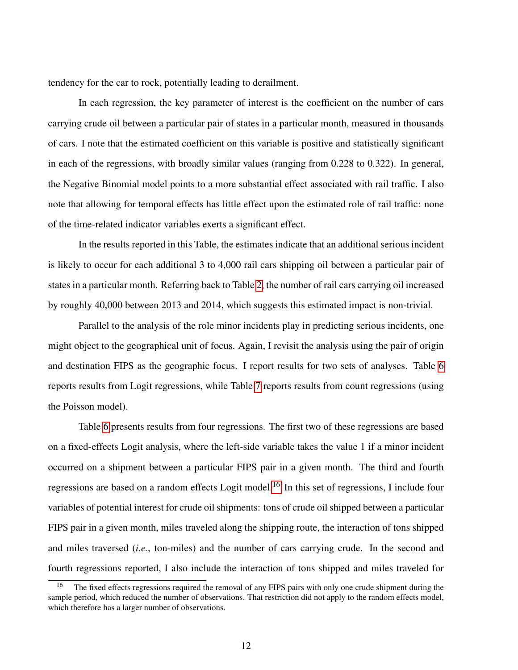tendency for the car to rock, potentially leading to derailment.

In each regression, the key parameter of interest is the coefficient on the number of cars carrying crude oil between a particular pair of states in a particular month, measured in thousands of cars. I note that the estimated coefficient on this variable is positive and statistically significant in each of the regressions, with broadly similar values (ranging from 0.228 to 0.322). In general, the Negative Binomial model points to a more substantial effect associated with rail traffic. I also note that allowing for temporal effects has little effect upon the estimated role of rail traffic: none of the time-related indicator variables exerts a significant effect.

In the results reported in this Table, the estimates indicate that an additional serious incident is likely to occur for each additional 3 to 4,000 rail cars shipping oil between a particular pair of states in a particular month. Referring back to Table [2,](#page-32-0) the number of rail cars carrying oil increased by roughly 40,000 between 2013 and 2014, which suggests this estimated impact is non-trivial.

Parallel to the analysis of the role minor incidents play in predicting serious incidents, one might object to the geographical unit of focus. Again, I revisit the analysis using the pair of origin and destination FIPS as the geographic focus. I report results for two sets of analyses. Table [6](#page-36-0) reports results from Logit regressions, while Table [7](#page-37-0) reports results from count regressions (using the Poisson model).

Table [6](#page-36-0) presents results from four regressions. The first two of these regressions are based on a fixed-effects Logit analysis, where the left-side variable takes the value 1 if a minor incident occurred on a shipment between a particular FIPS pair in a given month. The third and fourth regressions are based on a random effects Logit model.<sup>[16](#page-12-0)</sup> In this set of regressions, I include four variables of potential interest for crude oil shipments: tons of crude oil shipped between a particular FIPS pair in a given month, miles traveled along the shipping route, the interaction of tons shipped and miles traversed (*i.e.*, ton-miles) and the number of cars carrying crude. In the second and fourth regressions reported, I also include the interaction of tons shipped and miles traveled for

<span id="page-12-0"></span><sup>16</sup> The fixed effects regressions required the removal of any FIPS pairs with only one crude shipment during the sample period, which reduced the number of observations. That restriction did not apply to the random effects model, which therefore has a larger number of observations.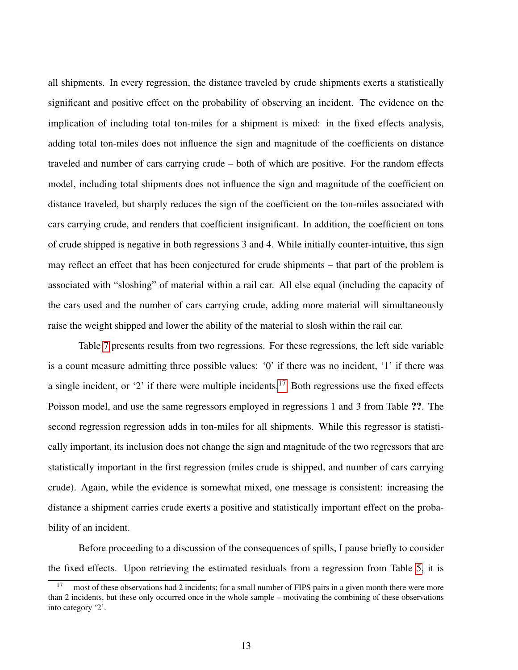all shipments. In every regression, the distance traveled by crude shipments exerts a statistically significant and positive effect on the probability of observing an incident. The evidence on the implication of including total ton-miles for a shipment is mixed: in the fixed effects analysis, adding total ton-miles does not influence the sign and magnitude of the coefficients on distance traveled and number of cars carrying crude – both of which are positive. For the random effects model, including total shipments does not influence the sign and magnitude of the coefficient on distance traveled, but sharply reduces the sign of the coefficient on the ton-miles associated with cars carrying crude, and renders that coefficient insignificant. In addition, the coefficient on tons of crude shipped is negative in both regressions 3 and 4. While initially counter-intuitive, this sign may reflect an effect that has been conjectured for crude shipments – that part of the problem is associated with "sloshing" of material within a rail car. All else equal (including the capacity of the cars used and the number of cars carrying crude, adding more material will simultaneously raise the weight shipped and lower the ability of the material to slosh within the rail car.

Table [7](#page-37-0) presents results from two regressions. For these regressions, the left side variable is a count measure admitting three possible values: '0' if there was no incident, '1' if there was a single incident, or '2' if there were multiple incidents.<sup>[17](#page-13-0)</sup> Both regressions use the fixed effects Poisson model, and use the same regressors employed in regressions 1 and 3 from Table ??. The second regression regression adds in ton-miles for all shipments. While this regressor is statistically important, its inclusion does not change the sign and magnitude of the two regressors that are statistically important in the first regression (miles crude is shipped, and number of cars carrying crude). Again, while the evidence is somewhat mixed, one message is consistent: increasing the distance a shipment carries crude exerts a positive and statistically important effect on the probability of an incident.

Before proceeding to a discussion of the consequences of spills, I pause briefly to consider the fixed effects. Upon retrieving the estimated residuals from a regression from Table [5,](#page-35-0) it is

<span id="page-13-0"></span>most of these observations had 2 incidents; for a small number of FIPS pairs in a given month there were more than 2 incidents, but these only occurred once in the whole sample – motivating the combining of these observations into category '2'.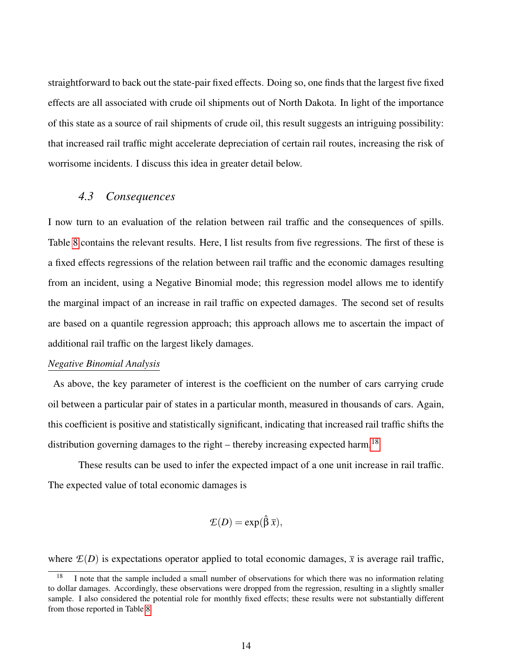straightforward to back out the state-pair fixed effects. Doing so, one finds that the largest five fixed effects are all associated with crude oil shipments out of North Dakota. In light of the importance of this state as a source of rail shipments of crude oil, this result suggests an intriguing possibility: that increased rail traffic might accelerate depreciation of certain rail routes, increasing the risk of worrisome incidents. I discuss this idea in greater detail below.

#### *4.3 Consequences*

I now turn to an evaluation of the relation between rail traffic and the consequences of spills. Table [8](#page-38-0) contains the relevant results. Here, I list results from five regressions. The first of these is a fixed effects regressions of the relation between rail traffic and the economic damages resulting from an incident, using a Negative Binomial mode; this regression model allows me to identify the marginal impact of an increase in rail traffic on expected damages. The second set of results are based on a quantile regression approach; this approach allows me to ascertain the impact of additional rail traffic on the largest likely damages.

#### *Negative Binomial Analysis*

As above, the key parameter of interest is the coefficient on the number of cars carrying crude oil between a particular pair of states in a particular month, measured in thousands of cars. Again, this coefficient is positive and statistically significant, indicating that increased rail traffic shifts the distribution governing damages to the right – thereby increasing expected harm.<sup>[18](#page-14-0)</sup>

These results can be used to infer the expected impact of a one unit increase in rail traffic. The expected value of total economic damages is

$$
\mathcal{E}(D) = \exp(\hat{\beta}\,\bar{x}),
$$

where  $\mathcal{E}(D)$  is expectations operator applied to total economic damages,  $\bar{x}$  is average rail traffic,

<span id="page-14-0"></span><sup>18</sup> I note that the sample included a small number of observations for which there was no information relating to dollar damages. Accordingly, these observations were dropped from the regression, resulting in a slightly smaller sample. I also considered the potential role for monthly fixed effects; these results were not substantially different from those reported in Table [8.](#page-38-0)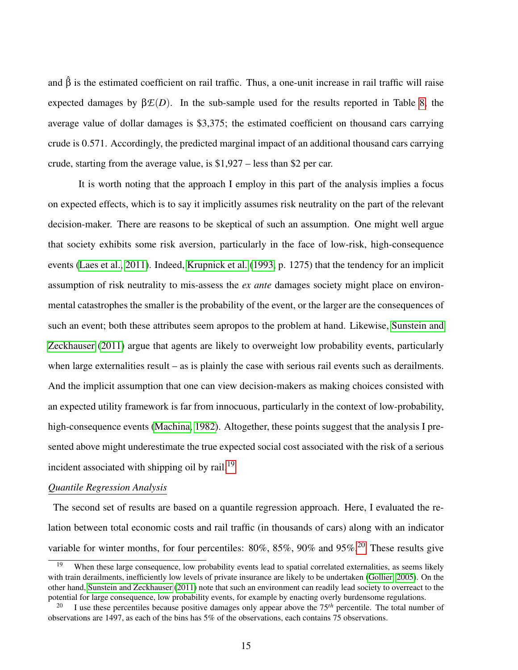and  $\hat{\beta}$  is the estimated coefficient on rail traffic. Thus, a one-unit increase in rail traffic will raise expected damages by  $\beta \mathcal{L}(D)$ . In the sub-sample used for the results reported in Table [8,](#page-38-0) the average value of dollar damages is \$3,375; the estimated coefficient on thousand cars carrying crude is 0.571. Accordingly, the predicted marginal impact of an additional thousand cars carrying crude, starting from the average value, is \$1,927 – less than \$2 per car.

It is worth noting that the approach I employ in this part of the analysis implies a focus on expected effects, which is to say it implicitly assumes risk neutrality on the part of the relevant decision-maker. There are reasons to be skeptical of such an assumption. One might well argue that society exhibits some risk aversion, particularly in the face of low-risk, high-consequence events [\(Laes et al., 2011\)](#page-24-5). Indeed, [Krupnick et al.](#page-24-6) [\(1993,](#page-24-6) p. 1275) that the tendency for an implicit assumption of risk neutrality to mis-assess the *ex ante* damages society might place on environmental catastrophes the smaller is the probability of the event, or the larger are the consequences of such an event; both these attributes seem apropos to the problem at hand. Likewise, [Sunstein and](#page-24-7) [Zeckhauser](#page-24-7) [\(2011\)](#page-24-7) argue that agents are likely to overweight low probability events, particularly when large externalities result – as is plainly the case with serious rail events such as derailments. And the implicit assumption that one can view decision-makers as making choices consisted with an expected utility framework is far from innocuous, particularly in the context of low-probability, high-consequence events [\(Machina, 1982\)](#page-24-8). Altogether, these points suggest that the analysis I presented above might underestimate the true expected social cost associated with the risk of a serious incident associated with shipping oil by rail.<sup>[19](#page-15-0)</sup>

#### *Quantile Regression Analysis*

The second set of results are based on a quantile regression approach. Here, I evaluated the relation between total economic costs and rail traffic (in thousands of cars) along with an indicator variable for winter months, for four percentiles:  $80\%$ ,  $85\%$ ,  $90\%$  and  $95\%$ .<sup>[20](#page-15-1)</sup> These results give

<span id="page-15-0"></span><sup>&</sup>lt;sup>19</sup> When these large consequence, low probability events lead to spatial correlated externalities, as seems likely with train derailments, inefficiently low levels of private insurance are likely to be undertaken [\(Gollier, 2005\)](#page-23-8). On the other hand, [Sunstein and Zeckhauser](#page-24-7) [\(2011\)](#page-24-7) note that such an environment can readily lead society to overreact to the potential for large consequence, low probability events, for example by enacting overly burdensome regulations.

<span id="page-15-1"></span><sup>&</sup>lt;sup>20</sup> I use these percentiles because positive damages only appear above the 75<sup>th</sup> percentile. The total number of observations are 1497, as each of the bins has 5% of the observations, each contains 75 observations.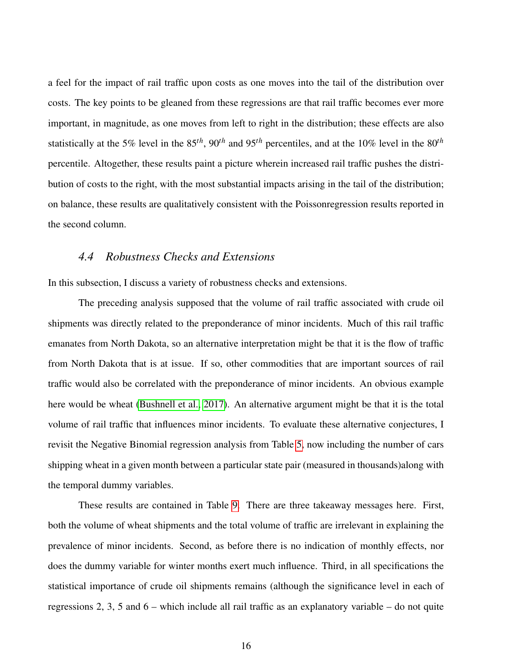a feel for the impact of rail traffic upon costs as one moves into the tail of the distribution over costs. The key points to be gleaned from these regressions are that rail traffic becomes ever more important, in magnitude, as one moves from left to right in the distribution; these effects are also statistically at the 5% level in the 85*th*, 90*th* and 95*th* percentiles, and at the 10% level in the 80*th* percentile. Altogether, these results paint a picture wherein increased rail traffic pushes the distribution of costs to the right, with the most substantial impacts arising in the tail of the distribution; on balance, these results are qualitatively consistent with the Poissonregression results reported in the second column.

#### *4.4 Robustness Checks and Extensions*

In this subsection, I discuss a variety of robustness checks and extensions.

The preceding analysis supposed that the volume of rail traffic associated with crude oil shipments was directly related to the preponderance of minor incidents. Much of this rail traffic emanates from North Dakota, so an alternative interpretation might be that it is the flow of traffic from North Dakota that is at issue. If so, other commodities that are important sources of rail traffic would also be correlated with the preponderance of minor incidents. An obvious example here would be wheat [\(Bushnell et al., 2017\)](#page-23-9). An alternative argument might be that it is the total volume of rail traffic that influences minor incidents. To evaluate these alternative conjectures, I revisit the Negative Binomial regression analysis from Table [5,](#page-35-0) now including the number of cars shipping wheat in a given month between a particular state pair (measured in thousands)along with the temporal dummy variables.

These results are contained in Table [9.](#page-39-0) There are three takeaway messages here. First, both the volume of wheat shipments and the total volume of traffic are irrelevant in explaining the prevalence of minor incidents. Second, as before there is no indication of monthly effects, nor does the dummy variable for winter months exert much influence. Third, in all specifications the statistical importance of crude oil shipments remains (although the significance level in each of regressions 2, 3, 5 and 6 – which include all rail traffic as an explanatory variable – do not quite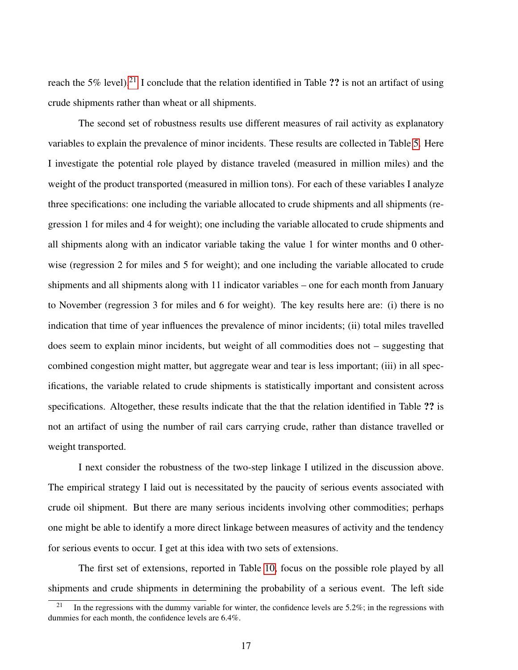reach the 5% level).<sup>[21](#page-17-0)</sup> I conclude that the relation identified in Table ?? is not an artifact of using crude shipments rather than wheat or all shipments.

The second set of robustness results use different measures of rail activity as explanatory variables to explain the prevalence of minor incidents. These results are collected in Table [5.](#page-35-0) Here I investigate the potential role played by distance traveled (measured in million miles) and the weight of the product transported (measured in million tons). For each of these variables I analyze three specifications: one including the variable allocated to crude shipments and all shipments (regression 1 for miles and 4 for weight); one including the variable allocated to crude shipments and all shipments along with an indicator variable taking the value 1 for winter months and 0 otherwise (regression 2 for miles and 5 for weight); and one including the variable allocated to crude shipments and all shipments along with 11 indicator variables – one for each month from January to November (regression 3 for miles and 6 for weight). The key results here are: (i) there is no indication that time of year influences the prevalence of minor incidents; (ii) total miles travelled does seem to explain minor incidents, but weight of all commodities does not – suggesting that combined congestion might matter, but aggregate wear and tear is less important; (iii) in all specifications, the variable related to crude shipments is statistically important and consistent across specifications. Altogether, these results indicate that the that the relation identified in Table ?? is not an artifact of using the number of rail cars carrying crude, rather than distance travelled or weight transported.

I next consider the robustness of the two-step linkage I utilized in the discussion above. The empirical strategy I laid out is necessitated by the paucity of serious events associated with crude oil shipment. But there are many serious incidents involving other commodities; perhaps one might be able to identify a more direct linkage between measures of activity and the tendency for serious events to occur. I get at this idea with two sets of extensions.

The first set of extensions, reported in Table [10,](#page-40-0) focus on the possible role played by all shipments and crude shipments in determining the probability of a serious event. The left side

<span id="page-17-0"></span>In the regressions with the dummy variable for winter, the confidence levels are  $5.2\%$ ; in the regressions with dummies for each month, the confidence levels are 6.4%.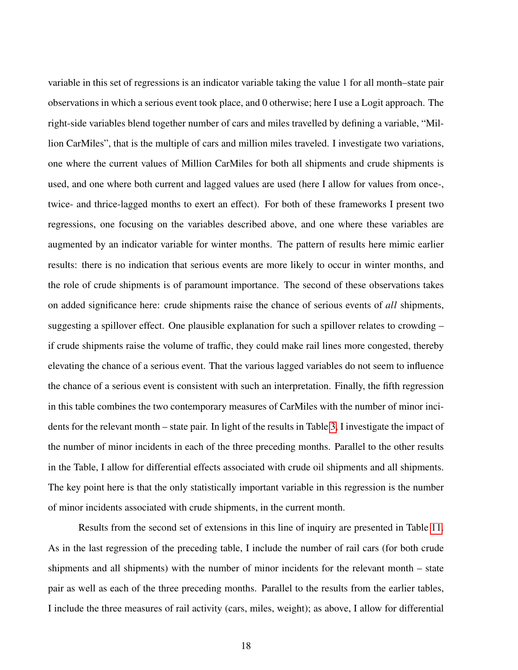variable in this set of regressions is an indicator variable taking the value 1 for all month–state pair observations in which a serious event took place, and 0 otherwise; here I use a Logit approach. The right-side variables blend together number of cars and miles travelled by defining a variable, "Million CarMiles", that is the multiple of cars and million miles traveled. I investigate two variations, one where the current values of Million CarMiles for both all shipments and crude shipments is used, and one where both current and lagged values are used (here I allow for values from once-, twice- and thrice-lagged months to exert an effect). For both of these frameworks I present two regressions, one focusing on the variables described above, and one where these variables are augmented by an indicator variable for winter months. The pattern of results here mimic earlier results: there is no indication that serious events are more likely to occur in winter months, and the role of crude shipments is of paramount importance. The second of these observations takes on added significance here: crude shipments raise the chance of serious events of *all* shipments, suggesting a spillover effect. One plausible explanation for such a spillover relates to crowding – if crude shipments raise the volume of traffic, they could make rail lines more congested, thereby elevating the chance of a serious event. That the various lagged variables do not seem to influence the chance of a serious event is consistent with such an interpretation. Finally, the fifth regression in this table combines the two contemporary measures of CarMiles with the number of minor incidents for the relevant month – state pair. In light of the results in Table [3,](#page-33-0) I investigate the impact of the number of minor incidents in each of the three preceding months. Parallel to the other results in the Table, I allow for differential effects associated with crude oil shipments and all shipments. The key point here is that the only statistically important variable in this regression is the number of minor incidents associated with crude shipments, in the current month.

Results from the second set of extensions in this line of inquiry are presented in Table [11.](#page-41-0) As in the last regression of the preceding table, I include the number of rail cars (for both crude shipments and all shipments) with the number of minor incidents for the relevant month – state pair as well as each of the three preceding months. Parallel to the results from the earlier tables, I include the three measures of rail activity (cars, miles, weight); as above, I allow for differential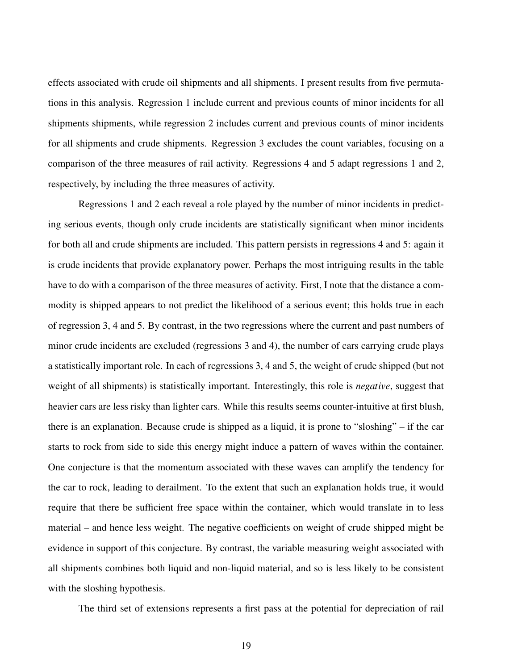effects associated with crude oil shipments and all shipments. I present results from five permutations in this analysis. Regression 1 include current and previous counts of minor incidents for all shipments shipments, while regression 2 includes current and previous counts of minor incidents for all shipments and crude shipments. Regression 3 excludes the count variables, focusing on a comparison of the three measures of rail activity. Regressions 4 and 5 adapt regressions 1 and 2, respectively, by including the three measures of activity.

Regressions 1 and 2 each reveal a role played by the number of minor incidents in predicting serious events, though only crude incidents are statistically significant when minor incidents for both all and crude shipments are included. This pattern persists in regressions 4 and 5: again it is crude incidents that provide explanatory power. Perhaps the most intriguing results in the table have to do with a comparison of the three measures of activity. First, I note that the distance a commodity is shipped appears to not predict the likelihood of a serious event; this holds true in each of regression 3, 4 and 5. By contrast, in the two regressions where the current and past numbers of minor crude incidents are excluded (regressions 3 and 4), the number of cars carrying crude plays a statistically important role. In each of regressions 3, 4 and 5, the weight of crude shipped (but not weight of all shipments) is statistically important. Interestingly, this role is *negative*, suggest that heavier cars are less risky than lighter cars. While this results seems counter-intuitive at first blush, there is an explanation. Because crude is shipped as a liquid, it is prone to "sloshing" – if the car starts to rock from side to side this energy might induce a pattern of waves within the container. One conjecture is that the momentum associated with these waves can amplify the tendency for the car to rock, leading to derailment. To the extent that such an explanation holds true, it would require that there be sufficient free space within the container, which would translate in to less material – and hence less weight. The negative coefficients on weight of crude shipped might be evidence in support of this conjecture. By contrast, the variable measuring weight associated with all shipments combines both liquid and non-liquid material, and so is less likely to be consistent with the sloshing hypothesis.

The third set of extensions represents a first pass at the potential for depreciation of rail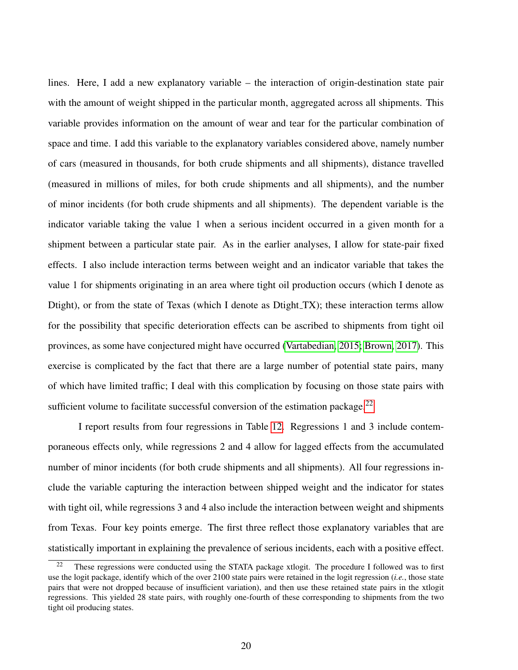lines. Here, I add a new explanatory variable – the interaction of origin-destination state pair with the amount of weight shipped in the particular month, aggregated across all shipments. This variable provides information on the amount of wear and tear for the particular combination of space and time. I add this variable to the explanatory variables considered above, namely number of cars (measured in thousands, for both crude shipments and all shipments), distance travelled (measured in millions of miles, for both crude shipments and all shipments), and the number of minor incidents (for both crude shipments and all shipments). The dependent variable is the indicator variable taking the value 1 when a serious incident occurred in a given month for a shipment between a particular state pair. As in the earlier analyses, I allow for state-pair fixed effects. I also include interaction terms between weight and an indicator variable that takes the value 1 for shipments originating in an area where tight oil production occurs (which I denote as Dtight), or from the state of Texas (which I denote as  $D$ tight $(TX)$ ; these interaction terms allow for the possibility that specific deterioration effects can be ascribed to shipments from tight oil provinces, as some have conjectured might have occurred [\(Vartabedian, 2015;](#page-24-3) [Brown, 2017\)](#page-23-6). This exercise is complicated by the fact that there are a large number of potential state pairs, many of which have limited traffic; I deal with this complication by focusing on those state pairs with sufficient volume to facilitate successful conversion of the estimation package.<sup>[22](#page-20-0)</sup>

I report results from four regressions in Table [12.](#page-42-0) Regressions 1 and 3 include contemporaneous effects only, while regressions 2 and 4 allow for lagged effects from the accumulated number of minor incidents (for both crude shipments and all shipments). All four regressions include the variable capturing the interaction between shipped weight and the indicator for states with tight oil, while regressions 3 and 4 also include the interaction between weight and shipments from Texas. Four key points emerge. The first three reflect those explanatory variables that are statistically important in explaining the prevalence of serious incidents, each with a positive effect.

<span id="page-20-0"></span> $22$  These regressions were conducted using the STATA package xtlogit. The procedure I followed was to first use the logit package, identify which of the over 2100 state pairs were retained in the logit regression (*i.e.*, those state pairs that were not dropped because of insufficient variation), and then use these retained state pairs in the xtlogit regressions. This yielded 28 state pairs, with roughly one-fourth of these corresponding to shipments from the two tight oil producing states.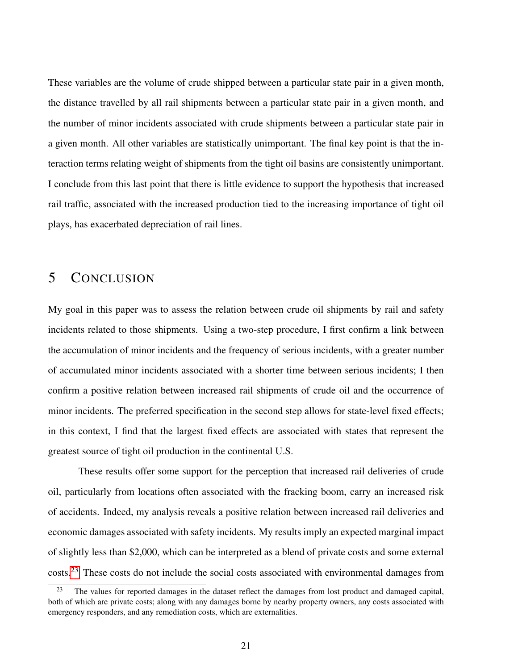These variables are the volume of crude shipped between a particular state pair in a given month, the distance travelled by all rail shipments between a particular state pair in a given month, and the number of minor incidents associated with crude shipments between a particular state pair in a given month. All other variables are statistically unimportant. The final key point is that the interaction terms relating weight of shipments from the tight oil basins are consistently unimportant. I conclude from this last point that there is little evidence to support the hypothesis that increased rail traffic, associated with the increased production tied to the increasing importance of tight oil plays, has exacerbated depreciation of rail lines.

# 5 CONCLUSION

My goal in this paper was to assess the relation between crude oil shipments by rail and safety incidents related to those shipments. Using a two-step procedure, I first confirm a link between the accumulation of minor incidents and the frequency of serious incidents, with a greater number of accumulated minor incidents associated with a shorter time between serious incidents; I then confirm a positive relation between increased rail shipments of crude oil and the occurrence of minor incidents. The preferred specification in the second step allows for state-level fixed effects; in this context, I find that the largest fixed effects are associated with states that represent the greatest source of tight oil production in the continental U.S.

These results offer some support for the perception that increased rail deliveries of crude oil, particularly from locations often associated with the fracking boom, carry an increased risk of accidents. Indeed, my analysis reveals a positive relation between increased rail deliveries and economic damages associated with safety incidents. My results imply an expected marginal impact of slightly less than \$2,000, which can be interpreted as a blend of private costs and some external costs.[23](#page-21-0) These costs do not include the social costs associated with environmental damages from

<span id="page-21-0"></span>The values for reported damages in the dataset reflect the damages from lost product and damaged capital, both of which are private costs; along with any damages borne by nearby property owners, any costs associated with emergency responders, and any remediation costs, which are externalities.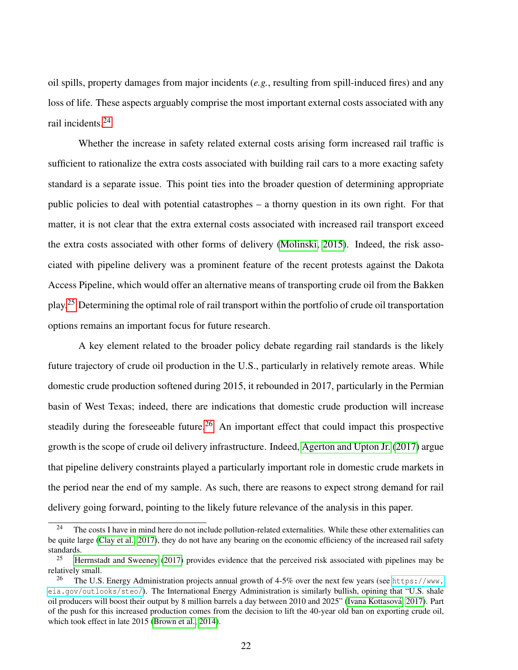oil spills, property damages from major incidents (*e.g.*, resulting from spill-induced fires) and any loss of life. These aspects arguably comprise the most important external costs associated with any rail incidents.[24](#page-22-0)

Whether the increase in safety related external costs arising form increased rail traffic is sufficient to rationalize the extra costs associated with building rail cars to a more exacting safety standard is a separate issue. This point ties into the broader question of determining appropriate public policies to deal with potential catastrophes – a thorny question in its own right. For that matter, it is not clear that the extra external costs associated with increased rail transport exceed the extra costs associated with other forms of delivery [\(Molinski, 2015\)](#page-24-2). Indeed, the risk associated with pipeline delivery was a prominent feature of the recent protests against the Dakota Access Pipeline, which would offer an alternative means of transporting crude oil from the Bakken play.[25](#page-22-1) Determining the optimal role of rail transport within the portfolio of crude oil transportation options remains an important focus for future research.

A key element related to the broader policy debate regarding rail standards is the likely future trajectory of crude oil production in the U.S., particularly in relatively remote areas. While domestic crude production softened during 2015, it rebounded in 2017, particularly in the Permian basin of West Texas; indeed, there are indications that domestic crude production will increase steadily during the foreseeable future.<sup>[26](#page-22-2)</sup> An important effect that could impact this prospective growth is the scope of crude oil delivery infrastructure. Indeed, [Agerton and Upton Jr.](#page-23-10) [\(2017\)](#page-23-10) argue that pipeline delivery constraints played a particularly important role in domestic crude markets in the period near the end of my sample. As such, there are reasons to expect strong demand for rail delivery going forward, pointing to the likely future relevance of the analysis in this paper.

<span id="page-22-0"></span><sup>&</sup>lt;sup>24</sup> The costs I have in mind here do not include pollution-related externalities. While these other externalities can be quite large [\(Clay et al., 2017\)](#page-23-11), they do not have any bearing on the economic efficiency of the increased rail safety standards.<br> $^{25}$  He

<span id="page-22-1"></span><sup>25</sup> [Herrnstadt and Sweeney](#page-23-12) [\(2017\)](#page-23-12) provides evidence that the perceived risk associated with pipelines may be relatively small.

<span id="page-22-2"></span><sup>&</sup>lt;sup>26</sup> The U.S. Energy Administration projects annual growth of 4-5% over the next few years (see [https://www.](https://www.eia.gov/outlooks/steo/) [eia.gov/outlooks/steo/](https://www.eia.gov/outlooks/steo/)). The International Energy Administration is similarly bullish, opining that "U.S. shale oil producers will boost their output by 8 million barrels a day between 2010 and 2025" [\(Ivana Kottasova, 2017\)](#page-23-13). Part ´ of the push for this increased production comes from the decision to lift the 40-year old ban on exporting crude oil, which took effect in late 2015 [\(Brown et al., 2014\)](#page-23-14).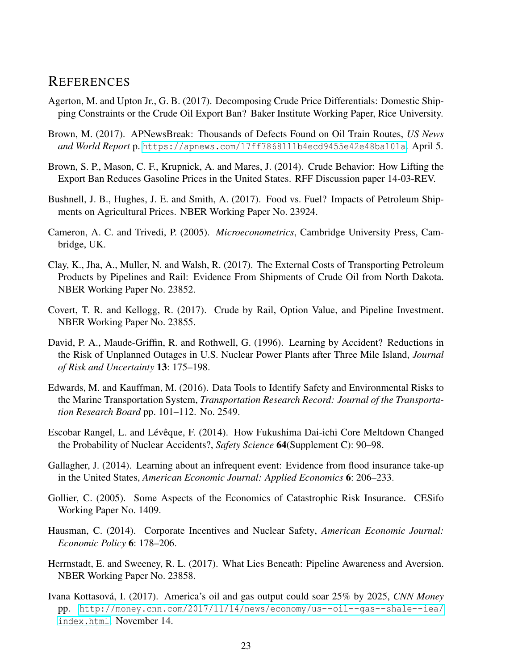### **REFERENCES**

- <span id="page-23-10"></span>Agerton, M. and Upton Jr., G. B. (2017). Decomposing Crude Price Differentials: Domestic Shipping Constraints or the Crude Oil Export Ban? Baker Institute Working Paper, Rice University.
- <span id="page-23-6"></span>Brown, M. (2017). APNewsBreak: Thousands of Defects Found on Oil Train Routes, *US News and World Report* p. <https://apnews.com/17ff7868111b4ecd9455e42e48ba101a>. April 5.
- <span id="page-23-14"></span>Brown, S. P., Mason, C. F., Krupnick, A. and Mares, J. (2014). Crude Behavior: How Lifting the Export Ban Reduces Gasoline Prices in the United States. RFF Discussion paper 14-03-REV.
- <span id="page-23-9"></span>Bushnell, J. B., Hughes, J. E. and Smith, A. (2017). Food vs. Fuel? Impacts of Petroleum Shipments on Agricultural Prices. NBER Working Paper No. 23924.
- <span id="page-23-7"></span>Cameron, A. C. and Trivedi, P. (2005). *Microeconometrics*, Cambridge University Press, Cambridge, UK.
- <span id="page-23-11"></span>Clay, K., Jha, A., Muller, N. and Walsh, R. (2017). The External Costs of Transporting Petroleum Products by Pipelines and Rail: Evidence From Shipments of Crude Oil from North Dakota. NBER Working Paper No. 23852.
- <span id="page-23-0"></span>Covert, T. R. and Kellogg, R. (2017). Crude by Rail, Option Value, and Pipeline Investment. NBER Working Paper No. 23855.
- <span id="page-23-1"></span>David, P. A., Maude-Griffin, R. and Rothwell, G. (1996). Learning by Accident? Reductions in the Risk of Unplanned Outages in U.S. Nuclear Power Plants after Three Mile Island, *Journal of Risk and Uncertainty* 13: 175–198.
- <span id="page-23-3"></span>Edwards, M. and Kauffman, M. (2016). Data Tools to Identify Safety and Environmental Risks to the Marine Transportation System, *Transportation Research Record: Journal of the Transportation Research Board* pp. 101–112. No. 2549.
- <span id="page-23-2"></span>Escobar Rangel, L. and Lévêque, F. (2014). How Fukushima Dai-ichi Core Meltdown Changed the Probability of Nuclear Accidents?, *Safety Science* 64(Supplement C): 90–98.
- <span id="page-23-5"></span>Gallagher, J. (2014). Learning about an infrequent event: Evidence from flood insurance take-up in the United States, *American Economic Journal: Applied Economics* 6: 206–233.
- <span id="page-23-8"></span>Gollier, C. (2005). Some Aspects of the Economics of Catastrophic Risk Insurance. CESifo Working Paper No. 1409.
- <span id="page-23-4"></span>Hausman, C. (2014). Corporate Incentives and Nuclear Safety, *American Economic Journal: Economic Policy* 6: 178–206.
- <span id="page-23-12"></span>Herrnstadt, E. and Sweeney, R. L. (2017). What Lies Beneath: Pipeline Awareness and Aversion. NBER Working Paper No. 23858.
- <span id="page-23-13"></span>Ivana Kottasová, I. (2017). America's oil and gas output could soar 25% by 2025, *CNN Money* pp. [http://money.cnn.com/2017/11/14/news/economy/us--oil--gas--shale--iea/](http://money.cnn.com/2017/11/14/news/economy/us--oil--gas--shale--iea/index.html) [index.html](http://money.cnn.com/2017/11/14/news/economy/us--oil--gas--shale--iea/index.html). November 14.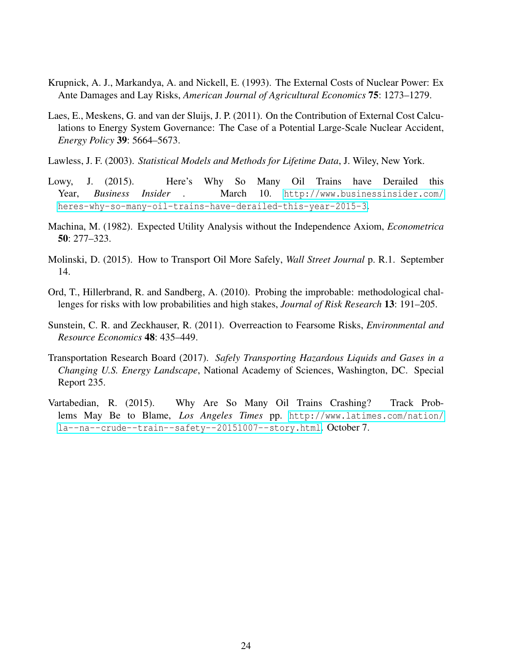- <span id="page-24-6"></span>Krupnick, A. J., Markandya, A. and Nickell, E. (1993). The External Costs of Nuclear Power: Ex Ante Damages and Lay Risks, *American Journal of Agricultural Economics* 75: 1273–1279.
- <span id="page-24-5"></span>Laes, E., Meskens, G. and van der Sluijs, J. P. (2011). On the Contribution of External Cost Calculations to Energy System Governance: The Case of a Potential Large-Scale Nuclear Accident, *Energy Policy* 39: 5664–5673.
- Lawless, J. F. (2003). *Statistical Models and Methods for Lifetime Data*, J. Wiley, New York.
- <span id="page-24-4"></span>Lowy, J. (2015). Here's Why So Many Oil Trains have Derailed this Year, *Business Insider* . March 10. [http://www.businessinsider.com/](http://www.businessinsider.com/heres-why-so-many-oil-trains-have-derailed-this-year-2015-3) [heres-why-so-many-oil-trains-have-derailed-this-year-2015-3](http://www.businessinsider.com/heres-why-so-many-oil-trains-have-derailed-this-year-2015-3).
- <span id="page-24-8"></span>Machina, M. (1982). Expected Utility Analysis without the Independence Axiom, *Econometrica* 50: 277–323.
- <span id="page-24-2"></span>Molinski, D. (2015). How to Transport Oil More Safely, *Wall Street Journal* p. R.1. September 14.
- <span id="page-24-1"></span>Ord, T., Hillerbrand, R. and Sandberg, A. (2010). Probing the improbable: methodological challenges for risks with low probabilities and high stakes, *Journal of Risk Research* 13: 191–205.
- <span id="page-24-7"></span>Sunstein, C. R. and Zeckhauser, R. (2011). Overreaction to Fearsome Risks, *Environmental and Resource Economics* 48: 435–449.
- <span id="page-24-0"></span>Transportation Research Board (2017). *Safely Transporting Hazardous Liquids and Gases in a Changing U.S. Energy Landscape*, National Academy of Sciences, Washington, DC. Special Report 235.
- <span id="page-24-3"></span>Vartabedian, R. (2015). Why Are So Many Oil Trains Crashing? Track Problems May Be to Blame, *Los Angeles Times* pp. [http://www.latimes.com/nation/](http://www.latimes.com/nation/la--na--crude--train--safety--20151007--story.html) [la--na--crude--train--safety--20151007--story.html](http://www.latimes.com/nation/la--na--crude--train--safety--20151007--story.html). October 7.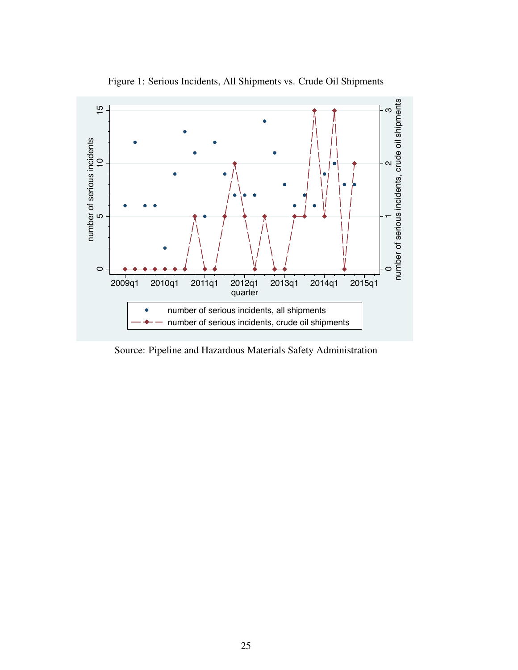<span id="page-25-0"></span>

Figure 1: Serious Incidents, All Shipments vs. Crude Oil Shipments

Source: Pipeline and Hazardous Materials Safety Administration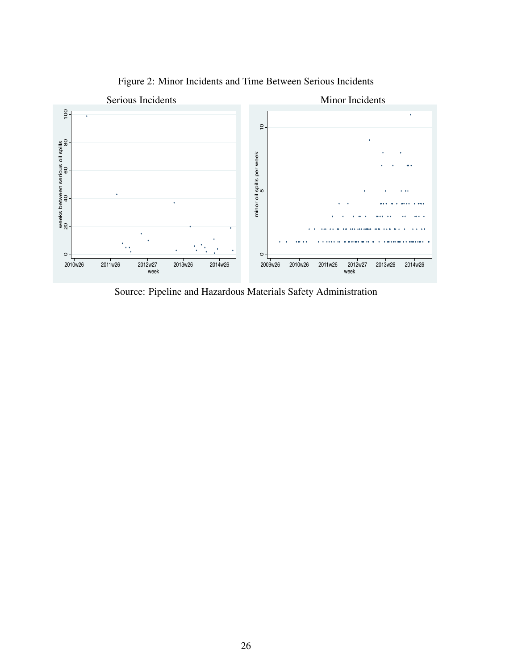<span id="page-26-0"></span>

Figure 2: Minor Incidents and Time Between Serious Incidents

Source: Pipeline and Hazardous Materials Safety Administration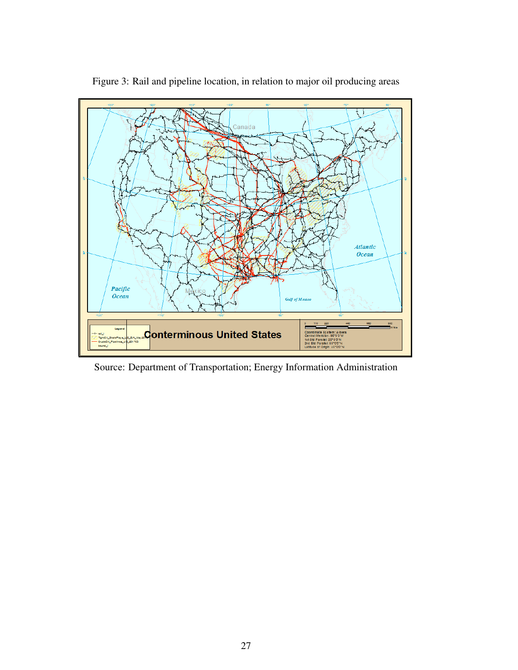<span id="page-27-0"></span>

Figure 3: Rail and pipeline location, in relation to major oil producing areas

Source: Department of Transportation; Energy Information Administration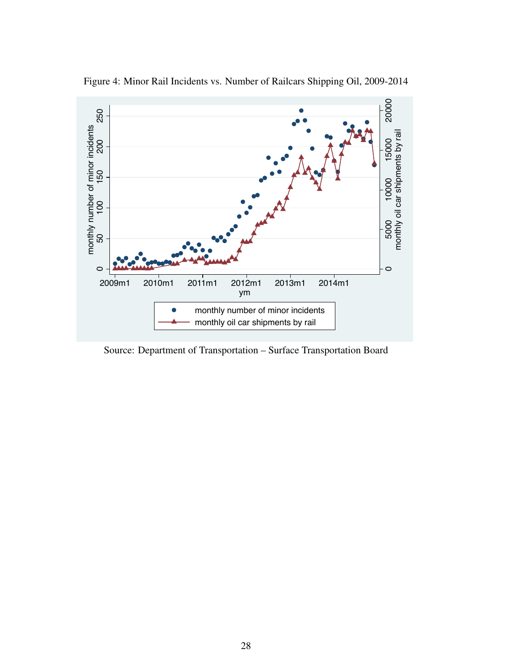<span id="page-28-0"></span>

Figure 4: Minor Rail Incidents vs. Number of Railcars Shipping Oil, 2009-2014

Source: Department of Transportation – Surface Transportation Board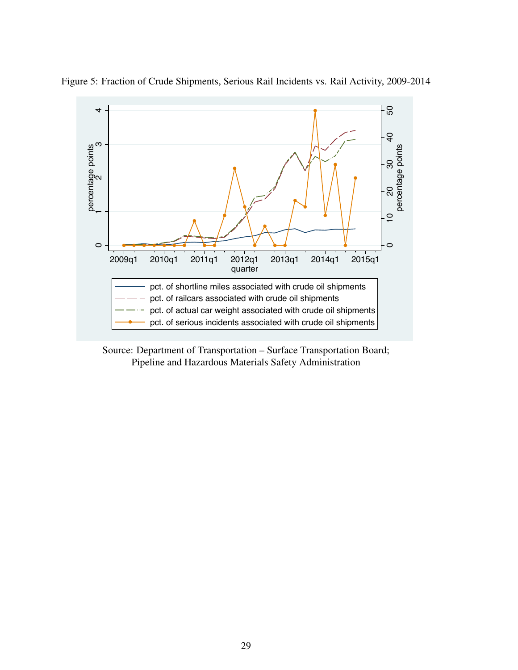

<span id="page-29-0"></span>Figure 5: Fraction of Crude Shipments, Serious Rail Incidents vs. Rail Activity, 2009-2014

Source: Department of Transportation – Surface Transportation Board; Pipeline and Hazardous Materials Safety Administration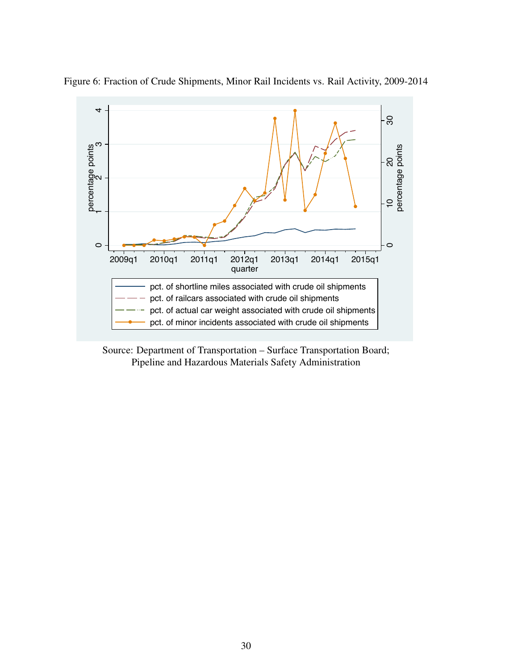

<span id="page-30-0"></span>Figure 6: Fraction of Crude Shipments, Minor Rail Incidents vs. Rail Activity, 2009-2014

Source: Department of Transportation – Surface Transportation Board; Pipeline and Hazardous Materials Safety Administration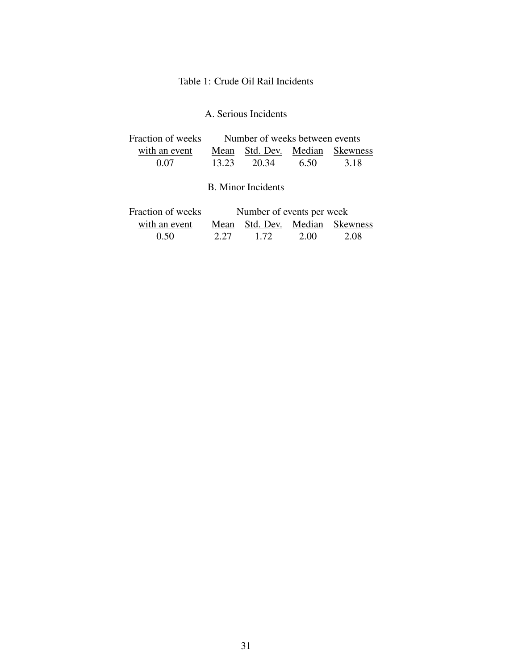### Table 1: Crude Oil Rail Incidents

## A. Serious Incidents

<span id="page-31-0"></span>

|                                                                                                                                                                                                                                                                                                                                    | Fraction of weeks Number of weeks between events |  |                                |  |  |  |
|------------------------------------------------------------------------------------------------------------------------------------------------------------------------------------------------------------------------------------------------------------------------------------------------------------------------------------|--------------------------------------------------|--|--------------------------------|--|--|--|
| with an event                                                                                                                                                                                                                                                                                                                      |                                                  |  | Mean Std. Dev. Median Skewness |  |  |  |
| 0.07                                                                                                                                                                                                                                                                                                                               |                                                  |  | 13.23 20.34 6.50 3.18          |  |  |  |
|                                                                                                                                                                                                                                                                                                                                    | <b>B.</b> Minor Incidents                        |  |                                |  |  |  |
| $\Gamma$ , and $\Gamma$ and $\Gamma$ and $\Gamma$ and $\Gamma$ and $\Gamma$ and $\Gamma$ and $\Gamma$ and $\Gamma$ and $\Gamma$ and $\Gamma$ and $\Gamma$ and $\Gamma$ and $\Gamma$ and $\Gamma$ and $\Gamma$ and $\Gamma$ and $\Gamma$ and $\Gamma$ and $\Gamma$ and $\Gamma$ and $\Gamma$ and $\Gamma$ and $\Gamma$ and $\Gamma$ |                                                  |  |                                |  |  |  |

| Fraction of weeks |      | Number of events per week      |      |      |
|-------------------|------|--------------------------------|------|------|
| with an event     |      | Mean Std. Dev. Median Skewness |      |      |
| 0.50              | 2.27 | 1.72                           | 2.00 | 2.08 |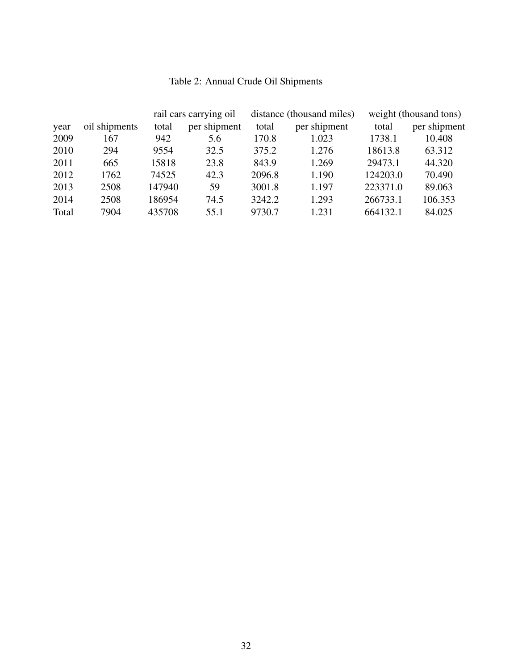|  |  |  |  | Table 2: Annual Crude Oil Shipments |
|--|--|--|--|-------------------------------------|
|--|--|--|--|-------------------------------------|

<span id="page-32-0"></span>

|       |               |        | rail cars carrying oil |        | distance (thousand miles) |          | weight (thousand tons) |
|-------|---------------|--------|------------------------|--------|---------------------------|----------|------------------------|
| year  | oil shipments | total  | per shipment           | total  | per shipment              | total    | per shipment           |
| 2009  | 167           | 942    | 5.6                    | 170.8  | 1.023                     | 1738.1   | 10.408                 |
| 2010  | 294           | 9554   | 32.5                   | 375.2  | 1.276                     | 18613.8  | 63.312                 |
| 2011  | 665           | 15818  | 23.8                   | 843.9  | 1.269                     | 29473.1  | 44.320                 |
| 2012  | 1762          | 74525  | 42.3                   | 2096.8 | 1.190                     | 124203.0 | 70.490                 |
| 2013  | 2508          | 147940 | 59                     | 3001.8 | 1.197                     | 223371.0 | 89.063                 |
| 2014  | 2508          | 186954 | 74.5                   | 3242.2 | 1.293                     | 266733.1 | 106.353                |
| Total | 7904          | 435708 | 55.1                   | 9730.7 | 1.231                     | 664132.1 | 84.025                 |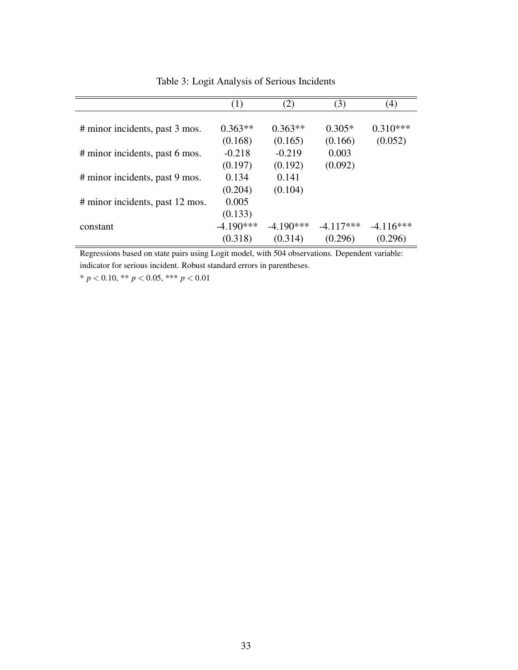<span id="page-33-0"></span>

|                                 | $\left(1\right)$ | (2)         | (3)         | (4)         |
|---------------------------------|------------------|-------------|-------------|-------------|
| # minor incidents, past 3 mos.  | $0.363**$        | $0.363**$   | $0.305*$    | $0.310***$  |
|                                 | (0.168)          | (0.165)     | (0.166)     | (0.052)     |
| # minor incidents, past 6 mos.  | $-0.218$         | $-0.219$    | 0.003       |             |
|                                 | (0.197)          | (0.192)     | (0.092)     |             |
| # minor incidents, past 9 mos.  | 0.134            | 0.141       |             |             |
|                                 | (0.204)          | (0.104)     |             |             |
| # minor incidents, past 12 mos. | 0.005            |             |             |             |
|                                 | (0.133)          |             |             |             |
| constant                        | $-4.190***$      | $-4.190***$ | $-4.117***$ | $-4.116***$ |
|                                 | (0.318)          | (0.314)     | (0.296)     | (0.296)     |

Table 3: Logit Analysis of Serious Incidents

Regressions based on state pairs using Logit model, with 504 observations. Dependent variable: indicator for serious incident. Robust standard errors in parentheses.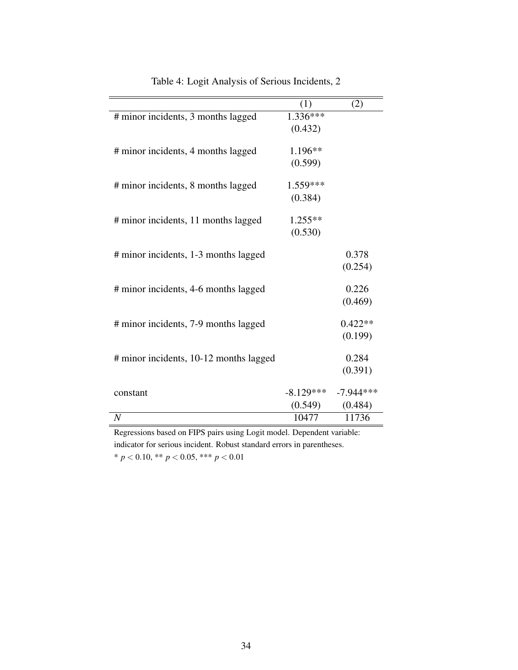<span id="page-34-0"></span>

|                                        | (1)         | (2)         |
|----------------------------------------|-------------|-------------|
| # minor incidents, 3 months lagged     | $1.336***$  |             |
|                                        | (0.432)     |             |
|                                        | $1.196**$   |             |
| # minor incidents, 4 months lagged     |             |             |
|                                        | (0.599)     |             |
| # minor incidents, 8 months lagged     | 1.559***    |             |
|                                        | (0.384)     |             |
|                                        |             |             |
| # minor incidents, 11 months lagged    | $1.255**$   |             |
|                                        | (0.530)     |             |
|                                        |             | 0.378       |
| # minor incidents, 1-3 months lagged   |             |             |
|                                        |             | (0.254)     |
| # minor incidents, 4-6 months lagged   |             | 0.226       |
|                                        |             | (0.469)     |
|                                        |             |             |
| # minor incidents, 7-9 months lagged   |             | $0.422**$   |
|                                        |             | (0.199)     |
|                                        |             | 0.284       |
| # minor incidents, 10-12 months lagged |             |             |
|                                        |             | (0.391)     |
| constant                               | $-8.129***$ | $-7.944***$ |
|                                        | (0.549)     | (0.484)     |
| $\overline{N}$                         | 10477       | 11736       |

Table 4: Logit Analysis of Serious Incidents, 2

Regressions based on FIPS pairs using Logit model. Dependent variable: indicator for serious incident. Robust standard errors in parentheses. \* *p* < 0.10, \*\* *p* < 0.05, \*\*\* *p* < 0.01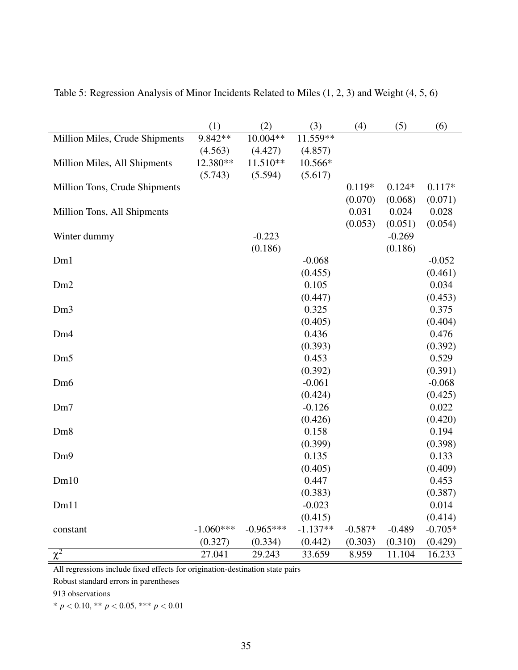|                                | (1)         | (2)         | (3)        | (4)       | (5)      | (6)       |
|--------------------------------|-------------|-------------|------------|-----------|----------|-----------|
| Million Miles, Crude Shipments | $9.842**$   | 10.004**    | $11.559**$ |           |          |           |
|                                | (4.563)     | (4.427)     | (4.857)    |           |          |           |
| Million Miles, All Shipments   | 12.380**    | 11.510**    | 10.566*    |           |          |           |
|                                | (5.743)     | (5.594)     | (5.617)    |           |          |           |
| Million Tons, Crude Shipments  |             |             |            | $0.119*$  | $0.124*$ | $0.117*$  |
|                                |             |             |            | (0.070)   | (0.068)  | (0.071)   |
| Million Tons, All Shipments    |             |             |            | 0.031     | 0.024    | 0.028     |
|                                |             |             |            | (0.053)   | (0.051)  | (0.054)   |
| Winter dummy                   |             | $-0.223$    |            |           | $-0.269$ |           |
|                                |             | (0.186)     |            |           | (0.186)  |           |
| Dm1                            |             |             | $-0.068$   |           |          | $-0.052$  |
|                                |             |             | (0.455)    |           |          | (0.461)   |
| Dm2                            |             |             | 0.105      |           |          | 0.034     |
|                                |             |             | (0.447)    |           |          | (0.453)   |
| Dm <sub>3</sub>                |             |             | 0.325      |           |          | 0.375     |
|                                |             |             | (0.405)    |           |          | (0.404)   |
| Dm <sub>4</sub>                |             |             | 0.436      |           |          | 0.476     |
|                                |             |             | (0.393)    |           |          | (0.392)   |
| Dm <sub>5</sub>                |             |             | 0.453      |           |          | 0.529     |
|                                |             |             | (0.392)    |           |          | (0.391)   |
| Dm <sub>6</sub>                |             |             | $-0.061$   |           |          | $-0.068$  |
|                                |             |             | (0.424)    |           |          | (0.425)   |
| Dm7                            |             |             | $-0.126$   |           |          | 0.022     |
|                                |             |             | (0.426)    |           |          | (0.420)   |
| Dm <sub>8</sub>                |             |             | 0.158      |           |          | 0.194     |
|                                |             |             | (0.399)    |           |          | (0.398)   |
| Dm9                            |             |             | 0.135      |           |          | 0.133     |
|                                |             |             | (0.405)    |           |          | (0.409)   |
| Dm10                           |             |             | 0.447      |           |          | 0.453     |
|                                |             |             | (0.383)    |           |          | (0.387)   |
| Dm11                           |             |             | $-0.023$   |           |          | 0.014     |
|                                |             |             | (0.415)    |           |          | (0.414)   |
| constant                       | $-1.060***$ | $-0.965***$ | $-1.137**$ | $-0.587*$ | $-0.489$ | $-0.705*$ |
|                                | (0.327)     | (0.334)     | (0.442)    | (0.303)   | (0.310)  | (0.429)   |
| $\chi^2$                       | 27.041      | 29.243      | 33.659     | 8.959     | 11.104   | 16.233    |

<span id="page-35-0"></span>Table 5: Regression Analysis of Minor Incidents Related to Miles (1, 2, 3) and Weight (4, 5, 6)

Robust standard errors in parentheses

913 observations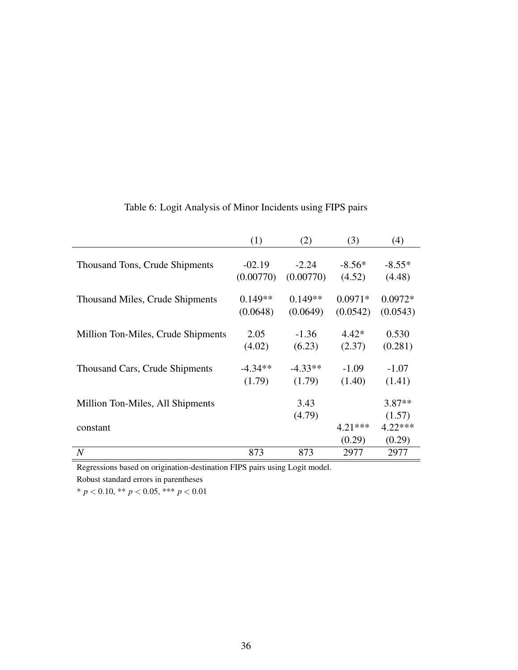<span id="page-36-0"></span>

|                                        | (1)                   | (2)                  | (3)                 | (4)                 |
|----------------------------------------|-----------------------|----------------------|---------------------|---------------------|
| Thousand Tons, Crude Shipments         | $-02.19$<br>(0.00770) | $-2.24$<br>(0.00770) | $-8.56*$<br>(4.52)  | $-8.55*$<br>(4.48)  |
| <b>Thousand Miles, Crude Shipments</b> | $0.149**$             | $0.149**$            | $0.0971*$           | $0.0972*$           |
| Million Ton-Miles, Crude Shipments     | (0.0648)<br>2.05      | (0.0649)<br>$-1.36$  | (0.0542)<br>$4.42*$ | (0.0543)<br>0.530   |
|                                        | (4.02)                | (6.23)               | (2.37)              | (0.281)             |
| Thousand Cars, Crude Shipments         | $-4.34**$<br>(1.79)   | $-4.33**$<br>(1.79)  | $-1.09$<br>(1.40)   | $-1.07$<br>(1.41)   |
| Million Ton-Miles, All Shipments       |                       | 3.43<br>(4.79)       |                     | $3.87**$<br>(1.57)  |
| constant                               |                       |                      | $4.21***$<br>(0.29) | $4.22***$<br>(0.29) |
| $\overline{N}$                         | 873                   | 873                  | 2977                | 2977                |

# Table 6: Logit Analysis of Minor Incidents using FIPS pairs

Regressions based on origination-destination FIPS pairs using Logit model.

Robust standard errors in parentheses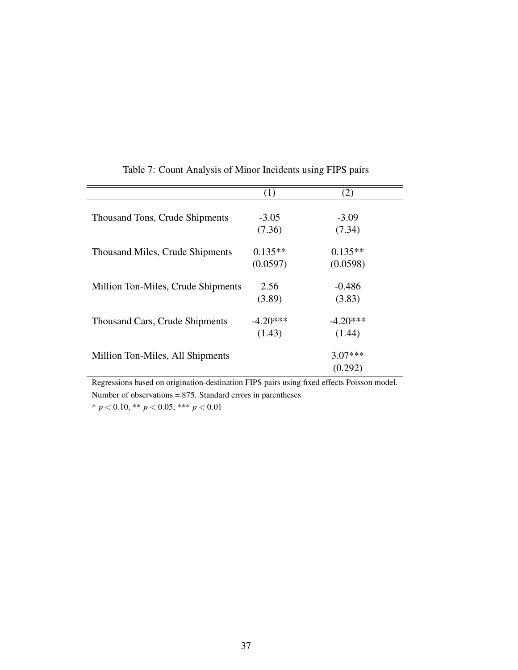<span id="page-37-0"></span>

|                                    | (1)        | (2)        |
|------------------------------------|------------|------------|
| Thousand Tons, Crude Shipments     | $-3.05$    | $-3.09$    |
|                                    | (7.36)     | (7.34)     |
| Thousand Miles, Crude Shipments    | $0.135**$  | $0.135**$  |
|                                    | (0.0597)   | (0.0598)   |
| Million Ton-Miles, Crude Shipments | 2.56       | $-0.486$   |
|                                    | (3.89)     | (3.83)     |
| Thousand Cars, Crude Shipments     | $-4.20***$ | $-4.20***$ |
|                                    | (1.43)     | (1.44)     |
| Million Ton-Miles, All Shipments   |            | $3.07***$  |
|                                    |            | (0.292)    |

### Table 7: Count Analysis of Minor Incidents using FIPS pairs

Regressions based on origination-destination FIPS pairs using fixed effects Poisson model. Number of observations = 875. Standard errors in parentheses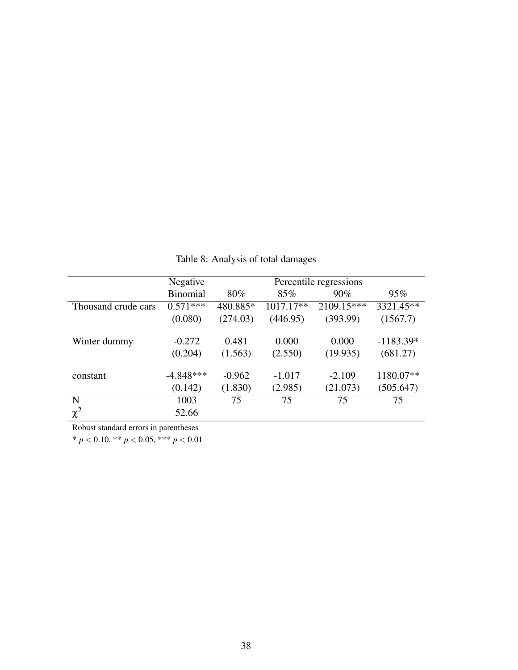<span id="page-38-0"></span>

|                     | Negative        |          |             | Percentile regressions |             |  |  |
|---------------------|-----------------|----------|-------------|------------------------|-------------|--|--|
|                     | <b>Binomial</b> | 80%      | 85%         | 90%                    | 95%         |  |  |
| Thousand crude cars | $0.571***$      | 480.885* | $1017.17**$ | 2109.15***             | 3321.45**   |  |  |
|                     | (0.080)         | (274.03) | (446.95)    | (393.99)               | (1567.7)    |  |  |
| Winter dummy        | $-0.272$        | 0.481    | 0.000       | 0.000                  | $-1183.39*$ |  |  |
|                     | (0.204)         | (1.563)  | (2.550)     | (19.935)               | (681.27)    |  |  |
| constant            | $-4.848***$     | $-0.962$ | $-1.017$    | $-2.109$               | 1180.07**   |  |  |
|                     | (0.142)         | (1.830)  | (2.985)     | (21.073)               | (505.647)   |  |  |
| N                   | 1003            | 75       | 75          | 75                     | 75          |  |  |
| $\chi^2$            | 52.66           |          |             |                        |             |  |  |

Table 8: Analysis of total damages

Robust standard errors in parentheses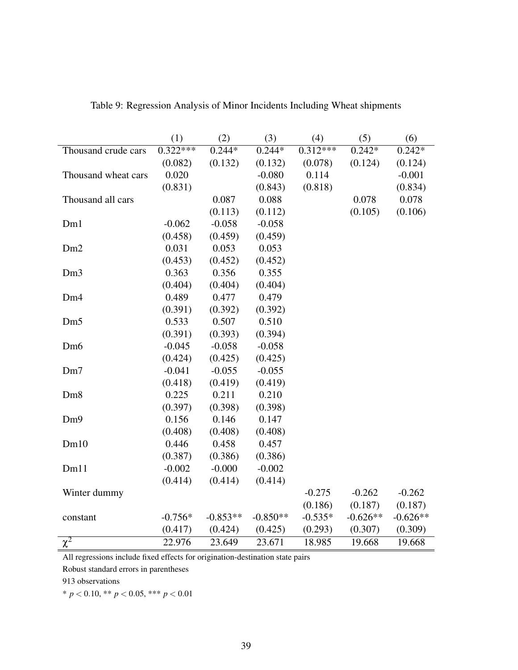<span id="page-39-0"></span>

|                     | (1)        | (2)        | (3)        | (4)        | (5)        | (6)        |
|---------------------|------------|------------|------------|------------|------------|------------|
| Thousand crude cars | $0.322***$ | $0.244*$   | $0.244*$   | $0.312***$ | $0.242*$   | $0.242*$   |
|                     | (0.082)    | (0.132)    | (0.132)    | (0.078)    | (0.124)    | (0.124)    |
| Thousand wheat cars | 0.020      |            | $-0.080$   | 0.114      |            | $-0.001$   |
|                     | (0.831)    |            | (0.843)    | (0.818)    |            | (0.834)    |
| Thousand all cars   |            | 0.087      | 0.088      |            | 0.078      | 0.078      |
|                     |            | (0.113)    | (0.112)    |            | (0.105)    | (0.106)    |
| Dm1                 | $-0.062$   | $-0.058$   | $-0.058$   |            |            |            |
|                     | (0.458)    | (0.459)    | (0.459)    |            |            |            |
| Dm2                 | 0.031      | 0.053      | 0.053      |            |            |            |
|                     | (0.453)    | (0.452)    | (0.452)    |            |            |            |
| Dm <sub>3</sub>     | 0.363      | 0.356      | 0.355      |            |            |            |
|                     | (0.404)    | (0.404)    | (0.404)    |            |            |            |
| Dm <sub>4</sub>     | 0.489      | 0.477      | 0.479      |            |            |            |
|                     | (0.391)    | (0.392)    | (0.392)    |            |            |            |
| Dm <sub>5</sub>     | 0.533      | 0.507      | 0.510      |            |            |            |
|                     | (0.391)    | (0.393)    | (0.394)    |            |            |            |
| Dm <sub>6</sub>     | $-0.045$   | $-0.058$   | $-0.058$   |            |            |            |
|                     | (0.424)    | (0.425)    | (0.425)    |            |            |            |
| Dm7                 | $-0.041$   | $-0.055$   | $-0.055$   |            |            |            |
|                     | (0.418)    | (0.419)    | (0.419)    |            |            |            |
| Dm <sub>8</sub>     | 0.225      | 0.211      | 0.210      |            |            |            |
|                     | (0.397)    | (0.398)    | (0.398)    |            |            |            |
| Dm9                 | 0.156      | 0.146      | 0.147      |            |            |            |
|                     | (0.408)    | (0.408)    | (0.408)    |            |            |            |
| Dm10                | 0.446      | 0.458      | 0.457      |            |            |            |
|                     | (0.387)    | (0.386)    | (0.386)    |            |            |            |
| Dm11                | $-0.002$   | $-0.000$   | $-0.002$   |            |            |            |
|                     | (0.414)    | (0.414)    | (0.414)    |            |            |            |
| Winter dummy        |            |            |            | $-0.275$   | $-0.262$   | $-0.262$   |
|                     |            |            |            | (0.186)    | (0.187)    | (0.187)    |
| constant            | $-0.756*$  | $-0.853**$ | $-0.850**$ | $-0.535*$  | $-0.626**$ | $-0.626**$ |
|                     | (0.417)    | (0.424)    | (0.425)    | (0.293)    | (0.307)    | (0.309)    |
| $\chi^2$            | 22.976     | 23.649     | 23.671     | 18.985     | 19.668     | 19.668     |

Table 9: Regression Analysis of Minor Incidents Including Wheat shipments

Robust standard errors in parentheses

913 observations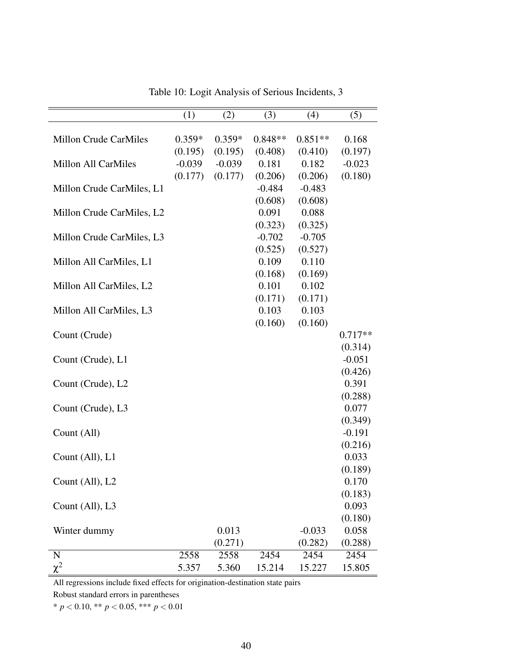<span id="page-40-0"></span>

|                           | (1)      | (2)      | (3)       | (4)       | (5)       |
|---------------------------|----------|----------|-----------|-----------|-----------|
|                           |          |          |           |           |           |
| Millon Crude CarMiles     | $0.359*$ | $0.359*$ | $0.848**$ | $0.851**$ | 0.168     |
|                           | (0.195)  | (0.195)  | (0.408)   | (0.410)   | (0.197)   |
| Millon All CarMiles       | $-0.039$ | $-0.039$ | 0.181     | 0.182     | $-0.023$  |
|                           | (0.177)  | (0.177)  | (0.206)   | (0.206)   | (0.180)   |
| Millon Crude CarMiles, L1 |          |          | $-0.484$  | $-0.483$  |           |
|                           |          |          | (0.608)   | (0.608)   |           |
| Millon Crude CarMiles, L2 |          |          | 0.091     | 0.088     |           |
|                           |          |          | (0.323)   | (0.325)   |           |
| Millon Crude CarMiles, L3 |          |          | $-0.702$  | $-0.705$  |           |
|                           |          |          | (0.525)   | (0.527)   |           |
| Millon All CarMiles, L1   |          |          | 0.109     | 0.110     |           |
|                           |          |          | (0.168)   | (0.169)   |           |
| Millon All CarMiles, L2   |          |          | 0.101     | 0.102     |           |
|                           |          |          | (0.171)   | (0.171)   |           |
| Millon All CarMiles, L3   |          |          | 0.103     | 0.103     |           |
|                           |          |          | (0.160)   | (0.160)   |           |
| Count (Crude)             |          |          |           |           | $0.717**$ |
|                           |          |          |           |           | (0.314)   |
| Count (Crude), L1         |          |          |           |           | $-0.051$  |
|                           |          |          |           |           | (0.426)   |
| Count (Crude), L2         |          |          |           |           | 0.391     |
|                           |          |          |           |           | (0.288)   |
| Count (Crude), L3         |          |          |           |           | 0.077     |
|                           |          |          |           |           | (0.349)   |
| Count (All)               |          |          |           |           | $-0.191$  |
|                           |          |          |           |           | (0.216)   |
| Count (All), L1           |          |          |           |           | 0.033     |
|                           |          |          |           |           | (0.189)   |
| Count (All), L2           |          |          |           |           | 0.170     |
|                           |          |          |           |           | (0.183)   |
| Count (All), L3           |          |          |           |           | 0.093     |
|                           |          |          |           |           | (0.180)   |
| Winter dummy              |          | 0.013    |           | $-0.033$  | 0.058     |
|                           |          | (0.271)  |           | (0.282)   | (0.288)   |
| ${\bf N}$                 | 2558     | 2558     | 2454      | 2454      | 2454      |
| $\chi^2$                  | 5.357    | 5.360    | 15.214    | 15.227    | 15.805    |

Table 10: Logit Analysis of Serious Incidents, 3

Robust standard errors in parentheses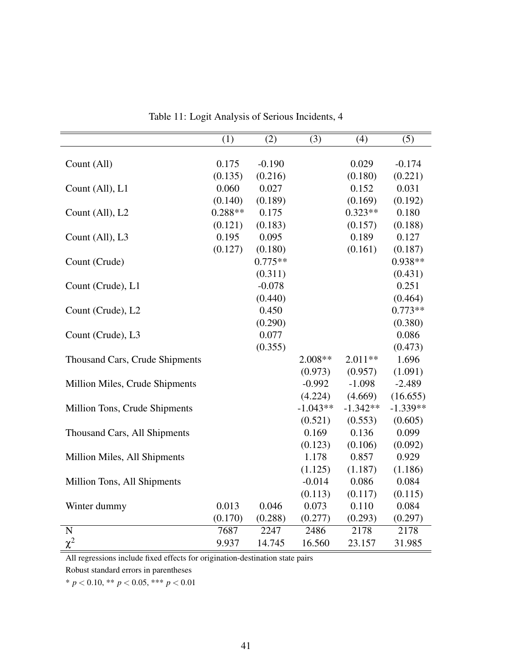<span id="page-41-0"></span>

|                                | (1)     | (2)       | (3)        | (4)        | (5)        |
|--------------------------------|---------|-----------|------------|------------|------------|
|                                |         |           |            |            |            |
| Count (All)                    | 0.175   | $-0.190$  |            | 0.029      | $-0.174$   |
|                                | (0.135) | (0.216)   |            | (0.180)    | (0.221)    |
| Count (All), L1                | 0.060   | 0.027     |            | 0.152      | 0.031      |
|                                | (0.140) | (0.189)   |            | (0.169)    | (0.192)    |
| Count (All), L2                | 0.288** | 0.175     |            | $0.323**$  | 0.180      |
|                                | (0.121) | (0.183)   |            | (0.157)    | (0.188)    |
| Count (All), L3                | 0.195   | 0.095     |            | 0.189      | 0.127      |
|                                | (0.127) | (0.180)   |            | (0.161)    | (0.187)    |
| Count (Crude)                  |         | $0.775**$ |            |            | 0.938**    |
|                                |         | (0.311)   |            |            | (0.431)    |
| Count (Crude), L1              |         | $-0.078$  |            |            | 0.251      |
|                                |         | (0.440)   |            |            | (0.464)    |
| Count (Crude), L2              |         | 0.450     |            |            | $0.773**$  |
|                                |         | (0.290)   |            |            | (0.380)    |
| Count (Crude), L3              |         | 0.077     |            |            | 0.086      |
|                                |         | (0.355)   |            |            | (0.473)    |
| Thousand Cars, Crude Shipments |         |           | 2.008**    | 2.011**    | 1.696      |
|                                |         |           | (0.973)    | (0.957)    | (1.091)    |
| Million Miles, Crude Shipments |         |           | $-0.992$   | $-1.098$   | $-2.489$   |
|                                |         |           | (4.224)    | (4.669)    | (16.655)   |
| Million Tons, Crude Shipments  |         |           | $-1.043**$ | $-1.342**$ | $-1.339**$ |
|                                |         |           | (0.521)    | (0.553)    | (0.605)    |
| Thousand Cars, All Shipments   |         |           | 0.169      | 0.136      | 0.099      |
|                                |         |           | (0.123)    | (0.106)    | (0.092)    |
| Million Miles, All Shipments   |         |           | 1.178      | 0.857      | 0.929      |
|                                |         |           | (1.125)    | (1.187)    | (1.186)    |
| Million Tons, All Shipments    |         |           | $-0.014$   | 0.086      | 0.084      |
|                                |         |           | (0.113)    | (0.117)    | (0.115)    |
| Winter dummy                   | 0.013   | 0.046     | 0.073      | 0.110      | 0.084      |
|                                | (0.170) | (0.288)   | (0.277)    | (0.293)    | (0.297)    |
| ${\bf N}$                      | 7687    | 2247      | 2486       | 2178       | 2178       |
| $\chi^2$                       | 9.937   | 14.745    | 16.560     | 23.157     | 31.985     |

Table 11: Logit Analysis of Serious Incidents, 4

Robust standard errors in parentheses